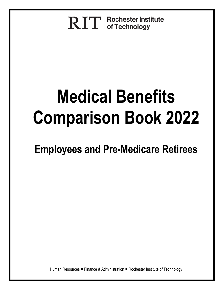**RIT** | Rochester Institute

# **Medical Benefits Comparison Book 2022**

**Employees and Pre-Medicare Retirees**

Human Resources ■ Finance & Administration ■ Rochester Institute of Technology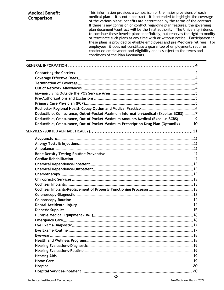| of the various plans; benefits are determined by the terms of the contract.<br>If there is any confusion or conflict regarding plan features, the governing<br>plan document/contract will be the final authority. The University intends<br>to continue these benefit plans indefinitely, but reserves the right to modify<br>or terminate such plans at any time with or without notice. Participation in<br>these plans is provided to eligible employees and pre-Medicare retirees. For<br>employees, it does not constitute a guarantee of employment, requires<br>continued employment and eligibility and is subject to the terms and<br>conditions of the Plan Documents. |
|-----------------------------------------------------------------------------------------------------------------------------------------------------------------------------------------------------------------------------------------------------------------------------------------------------------------------------------------------------------------------------------------------------------------------------------------------------------------------------------------------------------------------------------------------------------------------------------------------------------------------------------------------------------------------------------|
|-----------------------------------------------------------------------------------------------------------------------------------------------------------------------------------------------------------------------------------------------------------------------------------------------------------------------------------------------------------------------------------------------------------------------------------------------------------------------------------------------------------------------------------------------------------------------------------------------------------------------------------------------------------------------------------|

| Deductible, Coinsurance, Out-of-Pocket Maximum Information-Medical (Excellus BCBS)7 |  |
|-------------------------------------------------------------------------------------|--|
| Deductible, Coinsurance, Out-of-Pocket Maximum Amounts-Medical (Excellus BCBS) 9    |  |
| Deductible, Coinsurance, Out-of-Pocket Maximum-Prescription Drug Plan (OptumRx) 10  |  |
|                                                                                     |  |
|                                                                                     |  |
|                                                                                     |  |
|                                                                                     |  |
|                                                                                     |  |
|                                                                                     |  |
|                                                                                     |  |
|                                                                                     |  |
|                                                                                     |  |
|                                                                                     |  |
|                                                                                     |  |
|                                                                                     |  |
|                                                                                     |  |
|                                                                                     |  |
|                                                                                     |  |
|                                                                                     |  |
|                                                                                     |  |
|                                                                                     |  |
|                                                                                     |  |
|                                                                                     |  |
|                                                                                     |  |
|                                                                                     |  |
|                                                                                     |  |
|                                                                                     |  |
|                                                                                     |  |
|                                                                                     |  |
|                                                                                     |  |
|                                                                                     |  |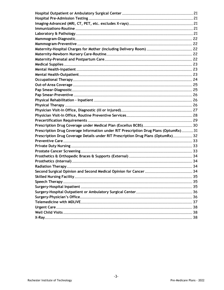| Prescription Drug Coverage Information under RIT Prescription Drug Plans (OptumRx) 31 |  |
|---------------------------------------------------------------------------------------|--|
| Prescription Drug Coverage Details under RIT Prescription Drug Plans (OptumRx) 32     |  |
|                                                                                       |  |
|                                                                                       |  |
|                                                                                       |  |
|                                                                                       |  |
|                                                                                       |  |
|                                                                                       |  |
|                                                                                       |  |
|                                                                                       |  |
|                                                                                       |  |
|                                                                                       |  |
|                                                                                       |  |
|                                                                                       |  |
|                                                                                       |  |
|                                                                                       |  |
|                                                                                       |  |
|                                                                                       |  |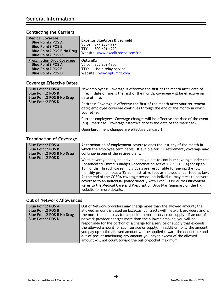# **Contacting the Carriers**

| <b>Medical Coverage</b><br><b>Blue Point 2 POS A</b><br><b>Blue Point 2 POS B</b><br><b>Blue Point2 POS B No Drug</b><br><b>Blue Point 2 POS D</b> | Excellus BlueCross BlueShield<br>Voice: 877-253-4797<br>800-421-1220<br>Website: www.excellusbcbs.com/rit |
|----------------------------------------------------------------------------------------------------------------------------------------------------|-----------------------------------------------------------------------------------------------------------|
| <b>Prescription Drug Coverage</b>                                                                                                                  | <b>OptumRx</b>                                                                                            |
| <b>Blue Point 2 POS A</b>                                                                                                                          | Voice: 855-209-1300                                                                                       |
| <b>Blue Point 2 POS B</b>                                                                                                                          | Use a relay service<br>TTY:                                                                               |
| <b>Blue Point 2 POS D</b>                                                                                                                          | Website: www.optumrx.com                                                                                  |

# **Coverage Effective Dates**

| <b>Blue Point2 POS A</b><br><b>Blue Point 2 POS B</b><br><b>Blue Point2 POS B No Drug</b><br><b>Blue Point2 POS D</b> | New employees: Coverage is effective the first of the month after date of<br>hire; if date of hire is the first of the month, coverage will be effective on<br>date of hire. |
|-----------------------------------------------------------------------------------------------------------------------|------------------------------------------------------------------------------------------------------------------------------------------------------------------------------|
|                                                                                                                       | Retirees: Coverage is effective the first of the month after your retirement<br>date; employee coverage continues through the end of the month in which<br>you retire.       |
|                                                                                                                       | Current employees: Coverage changes will be effective the date of the event<br>(e.g., marriage - coverage effective date is the date of the marriage).                       |
|                                                                                                                       | Open Enrollment changes are effective January 1.                                                                                                                             |

# **Termination of Coverage**

| <b>Blue Point2 POS A</b>         | At termination of employment coverage ends the last day of the month in                                                                                                                                                                                                                                                                                                                                                                                                                                                                                                                   |
|----------------------------------|-------------------------------------------------------------------------------------------------------------------------------------------------------------------------------------------------------------------------------------------------------------------------------------------------------------------------------------------------------------------------------------------------------------------------------------------------------------------------------------------------------------------------------------------------------------------------------------------|
| <b>Blue Point2 POS B</b>         | which the employee terminates. If eligible for RIT retirement, coverage may                                                                                                                                                                                                                                                                                                                                                                                                                                                                                                               |
| <b>Blue Point2 POS B No Drug</b> | continue in one of the retiree plans.                                                                                                                                                                                                                                                                                                                                                                                                                                                                                                                                                     |
| <b>Blue Point2 POS D</b>         | When coverage ends, an individual may elect to continue coverage under the<br>Consolidated Omnibus Budget Reconciliation Act of 1985 (COBRA) for up to<br>18 months. In such cases, individuals are responsible for paying the full<br>monthly premium plus a 2% administrative fee, as allowed under federal law.<br>At the end of the COBRA coverage period, an individual may elect to convert<br>coverage to an individual policy directly with Excellus BlueCross BlueShield.<br>Refer to the Medical Care and Prescription Drug Plan Summary on the HR<br>website for more details. |

# **Out of Network Allowances**

| <b>Blue Point2 POS A</b>                              | Out of Network providers may charge more than the allowed amount; the                                                                                                                                                                                                                                                                                                      |  |
|-------------------------------------------------------|----------------------------------------------------------------------------------------------------------------------------------------------------------------------------------------------------------------------------------------------------------------------------------------------------------------------------------------------------------------------------|--|
| <b>Blue Point2 POS B</b>                              | allowed amount is based on Excellus' contracts with network providers and is                                                                                                                                                                                                                                                                                               |  |
| Blue Point2 POS B No Drug<br><b>Blue Point2 POS D</b> | the most the plan pays for a specific covered service or supply. If an out of<br>network provider charges more than the allowed amount, you will be                                                                                                                                                                                                                        |  |
|                                                       | responsible for the portion of a charge for a service or supply that exceeds<br>the allowed amount for such service or supply. In addition, only the amount<br>you pay up to the allowed amount will be applied toward the deductible and<br>out-of-pocket maximum; any amount you pay in excess of the allowed<br>amount will not count toward the out-of-pocket maximum. |  |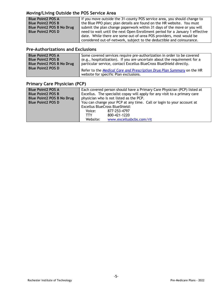# **Moving/Living Outside the POS Service Area**

| <b>Blue Point2 POS A</b>  | If you move outside the 31-county POS service area, you should change to     |  |
|---------------------------|------------------------------------------------------------------------------|--|
| <b>Blue Point2 POS B</b>  | the Blue PPO plan; plan details are found on the HR website. You must        |  |
| Blue Point2 POS B No Drug | submit the plan change paperwork within 31 days of the move or you will      |  |
| <b>Blue Point2 POS D</b>  | need to wait until the next Open Enrollment period for a January 1 effective |  |
|                           | date. While there are some out-of-area POS providers, most would be          |  |
|                           | considered out-of-network, subject to the deductible and coinsurance.        |  |

# **Pre-Authorizations and Exclusions**

| <b>Blue Point2 POS A</b>  | Some covered services require pre-authorization in order to be covered                                          |
|---------------------------|-----------------------------------------------------------------------------------------------------------------|
| <b>Blue Point2 POS B</b>  | (e.g., hospitalization). If you are uncertain about the requirement for a                                       |
| Blue Point2 POS B No Drug | particular service, contact Excellus BlueCross BlueShield directly.                                             |
| <b>Blue Point2 POS D</b>  | Refer to the Medical Care and Prescription Drug Plan Summary on the HR<br>website for specific Plan exclusions. |

# **Primary Care Physician (PCP)**

| <b>Blue Point2 POS A</b>  | Each covered person should have a Primary Care Physician (PCP) listed at  |  |  |
|---------------------------|---------------------------------------------------------------------------|--|--|
| <b>Blue Point2 POS B</b>  | Excellus. The specialist copay will apply for any visit to a primary care |  |  |
| Blue Point2 POS B No Drug | physician who is not listed as the PCP.                                   |  |  |
| <b>Blue Point2 POS D</b>  | You can change your PCP at any time. Call or login to your account at     |  |  |
|                           | <b>Excellus BlueCross BlueShield:</b>                                     |  |  |
|                           | 877-253-4797<br>Voice:                                                    |  |  |
|                           | 800-421-1220<br>TTY.                                                      |  |  |
|                           | Website:<br>www.excellusbcbs.com/rit                                      |  |  |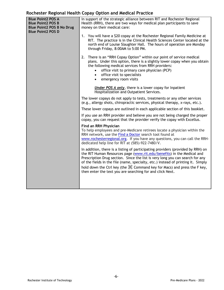## **Rochester Regional Health Copay Option and Medical Practice**

| Rochester Regional Health Copay Option and Medical Fractice                                                          |                                                                                                                                                                                                                                                                                                                                                                                                                                                                           |  |
|----------------------------------------------------------------------------------------------------------------------|---------------------------------------------------------------------------------------------------------------------------------------------------------------------------------------------------------------------------------------------------------------------------------------------------------------------------------------------------------------------------------------------------------------------------------------------------------------------------|--|
| <b>Blue Point2 POS A</b><br><b>Blue Point2 POS B</b><br><b>Blue Point2 POS B No Drug</b><br><b>Blue Point2 POS D</b> | In support of the strategic alliance between RIT and Rochester Regional<br>Health (RRH), there are two ways for medical plan participants to save<br>money on their medical care:                                                                                                                                                                                                                                                                                         |  |
|                                                                                                                      | 1. You will have a \$20 copay at the Rochester Regional Family Medicine at<br>RIT. The practice is in the Clinical Health Sciences Center located at the<br>north end of Louise Slaughter Hall. The hours of operation are Monday<br>through Friday, 8:00AM to 5:00 PM.                                                                                                                                                                                                   |  |
|                                                                                                                      | 2. There is an "RRH Copay Option" within our point of service medical<br>plans. Under this option, there is a slightly lower copay when you obtain<br>the following medical services from RRH providers:<br>office visit to primary care physician (PCP)<br>$\bullet$<br>office visit to specialists<br>$\bullet$<br>emergency room visits<br>$\bullet$                                                                                                                   |  |
|                                                                                                                      | <b>Under POS A only</b> , there is a lower copay for Inpatient<br>Hospitalization and Outpatient Services.                                                                                                                                                                                                                                                                                                                                                                |  |
|                                                                                                                      | The lower copays do not apply to tests, treatments or any other services<br>(e.g., allergy shots, chiropractic services, physical therapy, x-rays, etc.).                                                                                                                                                                                                                                                                                                                 |  |
|                                                                                                                      | These lower copays are outlined in each applicable section of this booklet.                                                                                                                                                                                                                                                                                                                                                                                               |  |
|                                                                                                                      | If you use an RRH provider and believe you are not being charged the proper<br>copay, you can request that the provider verify the copay with Excellus.                                                                                                                                                                                                                                                                                                                   |  |
|                                                                                                                      | Find an RRH Physician<br>To help employees and pre-Medicare retirees locate a physician within the<br>RRH network, use the Find a Doctor search tool found at<br>www.rochesterregional.org. If you have any questions, you can call the RRH-<br>dedicated help line for RIT at (585)-922-7480/V.                                                                                                                                                                          |  |
|                                                                                                                      | In addition, there is a listing of participating providers (provided by RRH) on<br>the RIT Human Resources page (www.rit.edu/benefits) in the Medical and<br>Prescription Drug section. Since the list is very long you can search for any<br>of the fields in the file (name, specialty, etc.) instead of printing it. Simply<br>hold down the Ctrl key (the $H$ Command key for Macs) and press the F key,<br>then enter the text you are searching for and click Next. |  |
|                                                                                                                      |                                                                                                                                                                                                                                                                                                                                                                                                                                                                           |  |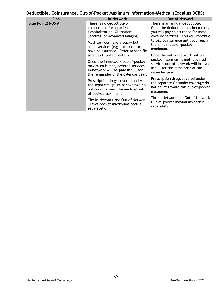# **Deductible, Coinsurance, Out-of-Pocket Maximum Information-Medical (Excellus BCBS)**

| Plan                     | <b>In-Network</b>                                                                                                                                   | <b>Out of Network</b>                                                                                                                           |
|--------------------------|-----------------------------------------------------------------------------------------------------------------------------------------------------|-------------------------------------------------------------------------------------------------------------------------------------------------|
| <b>Blue Point2 POS A</b> | There is no deductible or<br>coinsurance for Inpatient<br>Hospitalization, Outpatient<br>Services, or Advanced Imaging.                             | There is an annual deductible.<br>Once the deductible has been met,<br>you will pay coinsurance for most<br>covered services. You will continue |
|                          | Most services have a copay but<br>some services (e.g., acupuncture)<br>have coinsurance. Refer to specific                                          | to pay coinsurance until you reach<br>the annual out-of-pocket<br>maximum.                                                                      |
|                          | services listed for details.                                                                                                                        | Once the out-of-network out-of-                                                                                                                 |
|                          | Once the in-network out-of-pocket<br>maximum is met, covered services<br>in-network will be paid in full for<br>the remainder of the calendar year. | pocket maximum is met, covered<br>services out-of-network will be paid<br>in full for the remainder of the<br>calendar year.                    |
|                          | Prescription drugs covered under<br>the separate OptumRx coverage do<br>not count toward the medical out-<br>of-pocket maximum.                     | Prescription drugs covered under<br>the separate OptumRx coverage do<br>not count toward this out-of-pocket<br>maximum.                         |
|                          | The In-Network and Out of Network<br>Out-of-pocket maximums accrue<br>separately.                                                                   | The In-Network and Out of Network<br>Out-of-pocket maximums accrue<br>separately.                                                               |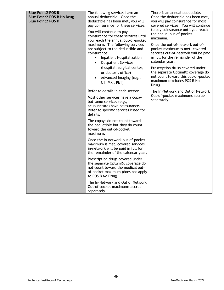| <b>Blue Point2 POS B</b><br><b>Blue Point2 POS B No Drug</b><br><b>Blue Point2 POS D</b> | The following services have an<br>annual deductible. Once the<br>deductible has been met, you will<br>pay coinsurance for these services.<br>You will continue to pay<br>coinsurance for these services until<br>you reach the annual out-of-pocket<br>maximum. The following services<br>are subject to the deductible and<br>coinsurance:<br>Inpatient Hospitalization<br>$\bullet$<br><b>Outpatient Services</b><br>$\bullet$<br>(hospital, surgical center,<br>or doctor's office)<br>Advanced Imaging (e.g.,<br>CT, MRI, PET) | There is an annual deductible.<br>Once the deductible has been met,<br>you will pay coinsurance for most<br>covered services. You will continue<br>to pay coinsurance until you reach<br>the annual out-of-pocket<br>maximum.<br>Once the out-of-network out-of-<br>pocket maximum is met, covered<br>services out-of-network will be paid<br>in full for the remainder of the<br>calendar year.<br>Prescription drugs covered under<br>the separate OptumRx coverage do<br>not count toward this out-of-pocket<br>maximum (excludes POS B No<br>Drug). |
|------------------------------------------------------------------------------------------|------------------------------------------------------------------------------------------------------------------------------------------------------------------------------------------------------------------------------------------------------------------------------------------------------------------------------------------------------------------------------------------------------------------------------------------------------------------------------------------------------------------------------------|---------------------------------------------------------------------------------------------------------------------------------------------------------------------------------------------------------------------------------------------------------------------------------------------------------------------------------------------------------------------------------------------------------------------------------------------------------------------------------------------------------------------------------------------------------|
|                                                                                          | Refer to details in each section.<br>Most other services have a copay<br>but some services (e.g.,<br>acupuncture) have coinsurance.<br>Refer to specific services listed for<br>details.                                                                                                                                                                                                                                                                                                                                           | The In-Network and Out of Network<br>Out-of-pocket maximums accrue<br>separately.                                                                                                                                                                                                                                                                                                                                                                                                                                                                       |
|                                                                                          | The copays do not count toward<br>the deductible but they do count<br>toward the out-of-pocket<br>maximum.                                                                                                                                                                                                                                                                                                                                                                                                                         |                                                                                                                                                                                                                                                                                                                                                                                                                                                                                                                                                         |
|                                                                                          | Once the in-network out-of-pocket<br>maximum is met, covered services<br>in-network will be paid in full for<br>the remainder of the calendar year.                                                                                                                                                                                                                                                                                                                                                                                |                                                                                                                                                                                                                                                                                                                                                                                                                                                                                                                                                         |
|                                                                                          | Prescription drugs covered under<br>the separate OptumRx coverage do<br>not count toward the medical out-<br>of-pocket maximum (does not apply<br>to POS B No Drug).                                                                                                                                                                                                                                                                                                                                                               |                                                                                                                                                                                                                                                                                                                                                                                                                                                                                                                                                         |
|                                                                                          | The In-Network and Out of Network<br>Out-of-pocket maximums accrue<br>separately.                                                                                                                                                                                                                                                                                                                                                                                                                                                  |                                                                                                                                                                                                                                                                                                                                                                                                                                                                                                                                                         |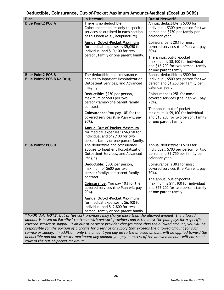#### **Deductible, Coinsurance, Out-of-Pocket Maximum Amounts-Medical (Excellus BCBS)**

| Plan                                                         | <b>In-Network</b>                                                                                                                                                                                                                                       | Out of Network*                                                                                                                |
|--------------------------------------------------------------|---------------------------------------------------------------------------------------------------------------------------------------------------------------------------------------------------------------------------------------------------------|--------------------------------------------------------------------------------------------------------------------------------|
| <b>Blue Point2 POS A</b>                                     | There is no deductible.<br>Coinsurance applies only to specific<br>services as outlined in each section<br>of this book (e.g., acupuncture).                                                                                                            | Annual deductible is \$300 for<br>individual, \$300 per person for two<br>person and \$750 per family per<br>calendar year.    |
|                                                              | Annual Out-of-Pocket Maximum<br>for medical expenses is \$5,050 for<br>individual and \$10,100 for two                                                                                                                                                  | Coinsurance is 20% for most<br>covered services (the Plan will pay<br>80%).                                                    |
|                                                              | person, family or one parent family.                                                                                                                                                                                                                    | The annual out-of-pocket<br>maximum is \$8,100 for individual<br>and \$16,200 for two person, family<br>or one parent family.  |
| <b>Blue Point2 POS B</b><br><b>Blue Point2 POS B No Drug</b> | The deductible and coinsurance<br>applies to Inpatient Hospitalization,<br>Outpatient Services, and Advanced<br>Imaging.                                                                                                                                | Annual deductible is \$500 for<br>individual, \$500 per person for two<br>person and \$1,250 per family per<br>calendar year.  |
|                                                              | Deductible: \$250 per person,<br>maximum of \$500 per two<br>person/family/one parent family                                                                                                                                                            | Coinsurance is 25% for most<br>covered services (the Plan will pay<br>75%).                                                    |
|                                                              | contract.<br>Coinsurance: You pay 10% for the<br>covered services (the Plan will pay<br>90%).                                                                                                                                                           | The annual out-of-pocket<br>maximum is \$9,100 for individual<br>and \$18,200 for two person, family<br>or one parent family.  |
|                                                              | Annual Out-of-Pocket Maximum<br>for medical expenses is \$6,050 for<br>individual and \$12,100 for two<br>person, family or one parent family.                                                                                                          |                                                                                                                                |
| <b>Blue Point2 POS D</b>                                     | The deductible and coinsurance<br>applies to Inpatient Hospitalization,<br>Outpatient Services, and Advanced<br>Imaging.                                                                                                                                | Annual deductible is \$700 for<br>individual, \$700 per person for two<br>person and \$1,750 per family per<br>calendar year.  |
|                                                              | Deductible: \$300 per person,<br>maximum of \$600 per two<br>person/family/one parent family<br>contract.                                                                                                                                               | Coinsurance is 30% for most<br>covered services (the Plan will pay<br>70%).                                                    |
|                                                              | Coinsurance: You pay 10% for the<br>covered services (the Plan will pay<br>90%).                                                                                                                                                                        | The annual out-of-pocket<br>maximum is \$11,100 for individual<br>and \$22,200 for two person, family<br>or one parent family. |
|                                                              | <b>Annual Out-of-Pocket Maximum</b><br>for medical expenses is \$6,400 for<br>individual and \$12,800 for two<br>person, family or one parent family.<br>*IMPORTANT NOTE: Out of Network providers may charge more than the allowed amount: the allowed |                                                                                                                                |

*\*IMPORTANT NOTE: Out of Network providers may charge more than the allowed amount; the allowed amount is based on Excellus' contracts with network providers and is the most the plan pays for a specific covered service or supply. If an out of network provider charges more than the allowed amount, you will be responsible for the portion of a charge for a service or supply that exceeds the allowed amount for such service or supply. In addition, only the amount you pay up to the allowed amount will be applied toward the deductible and out-of-pocket maximum; any amount you pay in excess of the allowed amount will not count toward the out-of-pocket maximum.*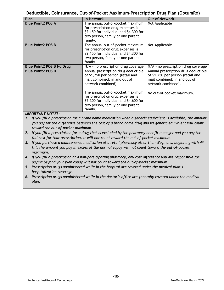#### **Deductible, Coinsurance, Out-of-Pocket Maximum-Prescription Drug Plan (OptumRx)**

| Plan                                                                                                                                  | <b>In-Network</b>                                                                                                                                              | <b>Out of Network</b>                                                                                                          |
|---------------------------------------------------------------------------------------------------------------------------------------|----------------------------------------------------------------------------------------------------------------------------------------------------------------|--------------------------------------------------------------------------------------------------------------------------------|
| <b>Blue Point2 POS A</b>                                                                                                              | The annual out-of-pocket maximum<br>for prescription drug expenses is<br>\$2,150 for individual and \$4,300 for                                                | Not Applicable                                                                                                                 |
|                                                                                                                                       | two person, family or one parent                                                                                                                               |                                                                                                                                |
|                                                                                                                                       | family.                                                                                                                                                        |                                                                                                                                |
| <b>Blue Point2 POS B</b>                                                                                                              | The annual out-of-pocket maximum<br>for prescription drug expenses is<br>\$2,150 for individual and \$4,300 for<br>two person, family or one parent<br>family. | Not Applicable                                                                                                                 |
| <b>Blue Point2 POS B No Drug</b>                                                                                                      | N/A - no prescription drug coverage                                                                                                                            | N/A - no prescription drug coverage                                                                                            |
| <b>Blue Point2 POS D</b>                                                                                                              | Annual prescription drug deductible<br>of \$1,250 per person (retail and<br>mail combined; in and out of<br>network combined).                                 | Annual prescription drug deductible<br>of \$1,250 per person (retail and<br>mail combined; in and out of<br>network combined). |
| $\mathbf{111}\mathbf{0}\mathbf{0}\mathbf{0}$ $\mathbf{0}$ $\mathbf{111}\mathbf{0}$ $\mathbf{110}\mathbf{0}$ $\mathbf{0}$ $\mathbf{0}$ | The annual out-of-pocket maximum<br>for prescription drug expenses is<br>\$2,300 for individual and \$4,600 for<br>two person, family or one parent<br>family. | No out-of-pocket maximum.                                                                                                      |

#### *IMPORTANT NOTES:*

- *1. If you fill a prescription for a brand name medication when a generic equivalent is available, the amount you pay for the difference between the cost of a brand name drug and its generic equivalent will count toward the out-of-pocket maximum.*
- *2. If you fill a prescription for a drug that is excluded by the pharmacy benefit manager and you pay the full cost for that prescription, it will not count toward the out-of-pocket maximum.*
- *3. If you purchase a maintenance medication at a retail pharmacy other than Wegmans, beginning with 4th fill, the amount you pay in excess of the normal copay will not count toward the out-of-pocket maximum.*
- *4. If you fill a prescription at a non-participating pharmacy, any cost difference you are responsible for paying beyond your plan copay will not count toward the out-of-pocket maximum.*
- *5. Prescription drugs administered while in the hospital are covered under the medical plan's hospitalization coverage.*
- *6. Prescription drugs administered while in the doctor's office are generally covered under the medical plan.*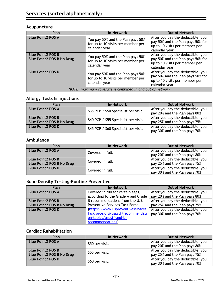#### **Acupuncture**

| Plan                                                         | <b>In-Network</b>                                                                         | <b>Out of Network</b>                                                                                                      |
|--------------------------------------------------------------|-------------------------------------------------------------------------------------------|----------------------------------------------------------------------------------------------------------------------------|
| <b>Blue Point2 POS A</b>                                     | You pay 50% and the Plan pays 50%<br>for up to 10 visits per member per<br>calendar year. | After you pay the deductible, you<br>pay 50% and the Plan pays 50% for<br>up to 10 visits per member per<br>calendar year. |
| <b>Blue Point2 POS B</b><br><b>Blue Point2 POS B No Drug</b> | You pay 50% and the Plan pays 50%<br>for up to 10 visits per member per<br>calendar year. | After you pay the deductible, you<br>pay 50% and the Plan pays 50% for<br>up to 10 visits per member per<br>calendar year. |
| <b>Blue Point2 POS D</b>                                     | You pay 50% and the Plan pays 50%<br>for up to 10 visits per member per<br>calendar year. | After you pay the deductible, you<br>pay 50% and the Plan pays 50% for<br>up to 10 visits per member per<br>calendar year. |
| NOTE: maximum coverage is combined in and out of network     |                                                                                           |                                                                                                                            |

# **Allergy Tests & Injections**

| Plan                                                         | <b>In-Network</b>                     | <b>Out of Network</b>                                               |
|--------------------------------------------------------------|---------------------------------------|---------------------------------------------------------------------|
| <b>Blue Point2 POS A</b>                                     | \$35 PCP / \$50 Specialist per visit. | After you pay the deductible, you<br>pay 20% and the Plan pays 80%  |
| <b>Blue Point2 POS B</b><br><b>Blue Point2 POS B No Drug</b> | \$40 PCP / \$55 Specialist per visit. | After you pay the deductible, you<br>pay 25% and the Plan pays 75%. |
| <b>Blue Point2 POS D</b>                                     | \$45 PCP / \$60 Specialist per visit. | After you pay the deductible, you<br>pay 30% and the Plan pays 70%. |

#### **Ambulance**

| Plan                                                         | <b>In-Network</b> | <b>Out of Network</b>                                               |
|--------------------------------------------------------------|-------------------|---------------------------------------------------------------------|
| <b>Blue Point2 POS A</b>                                     | Covered in full.  | After you pay the deductible, you<br>pay 20% and the Plan pays 80%. |
| <b>Blue Point2 POS B</b><br><b>Blue Point2 POS B No Drug</b> | Covered in full.  | After you pay the deductible, you<br>pay 25% and the Plan pays 75%. |
| <b>Blue Point2 POS D</b>                                     | Covered in full.  | After you pay the deductible, you<br>pay 30% and the Plan pays 70%. |

#### **Bone Density Testing-Routine Preventive**

| Plan                             | <b>In-Network</b>                     | <b>Out of Network</b>             |
|----------------------------------|---------------------------------------|-----------------------------------|
| <b>Blue Point2 POS A</b>         | Covered in full for certain ages,     | After you pay the deductible, you |
|                                  | according to the Grade A and Grade    | pay 20% and the Plan pays 80%.    |
| <b>Blue Point2 POS B</b>         | B recommendations from the U.S.       | After you pay the deductible, you |
| <b>Blue Point2 POS B No Drug</b> | <b>Preventive Services Task Force</b> | pay 25% and the Plan pays 75%.    |
| <b>Blue Point2 POS D</b>         | (https://www.uspreventiveservices     | After you pay the deductible, you |
|                                  | taskforce.org/uspstf/recommendati     | pay 30% and the Plan pays 70%.    |
|                                  | on-topics/uspstf-and-b-               |                                   |
|                                  | recommendations).                     |                                   |

#### **Cardiac Rehabilitation**

| Plan                                                         | <b>In-Network</b> | <b>Out of Network</b>                                               |
|--------------------------------------------------------------|-------------------|---------------------------------------------------------------------|
| <b>Blue Point2 POS A</b>                                     | \$50 per visit.   | After you pay the deductible, you<br>pay 20% and the Plan pays 80%. |
| <b>Blue Point2 POS B</b><br><b>Blue Point2 POS B No Drug</b> | \$55 per visit.   | After you pay the deductible, you<br>pay 25% and the Plan pays 75%. |
| <b>Blue Point2 POS D</b>                                     | \$60 per visit.   | After you pay the deductible, you<br>pay 30% and the Plan pays 70%. |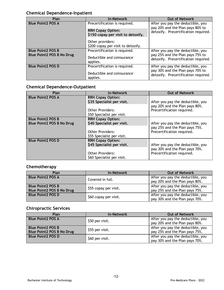# **Chemical Dependence-Inpatient**

| Plan                             | <b>In-Network</b>                                              | <b>Out of Network</b>                                                    |
|----------------------------------|----------------------------------------------------------------|--------------------------------------------------------------------------|
| <b>Blue Point2 POS A</b>         | Precertification is required.                                  | After you pay the deductible, you<br>pay 20% and the Plan pays 80% to    |
|                                  | <b>RRH Copay Option:</b><br>\$150 copay per visit to detoxify. | detoxify. Precertification required.                                     |
|                                  | Other providers:<br>\$200 copay per visit to detoxify.         |                                                                          |
| <b>Blue Point2 POS B</b>         | Precertification is required.                                  | After you pay the deductible, you                                        |
| <b>Blue Point2 POS B No Drug</b> | Deductible and coinsurance<br>applies.                         | pay 25% and the Plan pays 75% to<br>detoxify. Precertification required. |
| <b>Blue Point2 POS D</b>         | Precertification is required.                                  | After you pay the deductible, you                                        |
|                                  | Deductible and coinsurance<br>applies.                         | pay 30% and the Plan pays 70% to<br>detoxify. Precertification required. |

# **Chemical Dependence-Outpatient**

| Plan                             | <b>In-Network</b>          | <b>Out of Network</b>             |
|----------------------------------|----------------------------|-----------------------------------|
| <b>Blue Point2 POS A</b>         | <b>RRH Copay Option:</b>   |                                   |
|                                  | \$35 Specialist per visit. | After you pay the deductible, you |
|                                  |                            | pay 20% and the Plan pays 80%.    |
|                                  | Other Providers:           | Precertification required.        |
|                                  | \$50 Specialist per visit. |                                   |
| <b>Blue Point2 POS B</b>         | <b>RRH Copay Option:</b>   |                                   |
| <b>Blue Point2 POS B No Drug</b> | \$40 Specialist per visit. | After you pay the deductible, you |
|                                  |                            | pay 25% and the Plan pays 75%.    |
|                                  | <b>Other Providers:</b>    | Precertification required.        |
|                                  | \$55 Specialist per visit. |                                   |
| <b>Blue Point2 POS D</b>         | <b>RRH Copay Option:</b>   | After you pay the deductible, you |
|                                  | \$45 Specialist per visit. |                                   |
|                                  |                            | pay 30% and the Plan pays 70%.    |
|                                  | <b>Other Providers:</b>    | Precertification required.        |
|                                  | \$60 Specialist per visit. |                                   |

## **Chemotherapy**

| Plan                             | <b>In-Network</b>     | <b>Out of Network</b>             |
|----------------------------------|-----------------------|-----------------------------------|
| <b>Blue Point2 POS A</b>         | Covered in full.      | After you pay the deductible, you |
|                                  |                       | pay 20% and the Plan pays 80%.    |
| <b>Blue Point2 POS B</b>         |                       | After you pay the deductible, you |
| <b>Blue Point2 POS B No Drug</b> | \$55 copay per visit. | pay 25% and the Plan pays 75%.    |
| <b>Blue Point2 POS D</b>         | \$60 copay per visit. | After you pay the deductible, you |
|                                  |                       | pay 30% and the Plan pays 70%.    |

# **Chiropractic Services**

| Plan                                                         | <b>In-Network</b> | <b>Out of Network</b>                                               |
|--------------------------------------------------------------|-------------------|---------------------------------------------------------------------|
| <b>Blue Point2 POS A</b>                                     | \$50 per visit.   | After you pay the deductible, you<br>pay 20% and the Plan pays 80%. |
| <b>Blue Point2 POS B</b><br><b>Blue Point2 POS B No Drug</b> | \$55 per visit.   | After you pay the deductible, you<br>pay 25% and the Plan pays 75%. |
| <b>Blue Point2 POS D</b>                                     | \$60 per visit.   | After you pay the deductible, you<br>pay 30% and the Plan pays 70%. |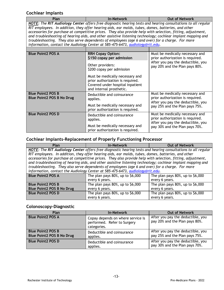# **Cochlear Implants**

| Plan                                                                                                        | <b>In-Network</b>                                                                                            | <b>Out of Network</b> |
|-------------------------------------------------------------------------------------------------------------|--------------------------------------------------------------------------------------------------------------|-----------------------|
|                                                                                                             | NOTE: The RIT Audiology Center offers free diagnostic hearing tests and hearing consultations to all regular |                       |
|                                                                                                             | RIT employees. In addition, they offer hearing aids, ear molds, tubes, domes, batteries, and other           |                       |
| accessories for purchase at competitive prices. They also provide help with selection, fitting, adjustment, |                                                                                                              |                       |
|                                                                                                             | and troubleshooting of hearing aids, and other assistive listening technology; cochlear implant mapping and  |                       |
|                                                                                                             | troubleshooting. They also serve dependents of employees (age 6 and over) for a charge. For more             |                       |
|                                                                                                             | information, contact the Audiology Center at 585-475-6473, audiology@rit.edu.                                |                       |

| <b>Blue Point2 POS A</b>                                     | <b>RRH Copay Option:</b><br>\$150 copay per admission                                                                               | Must be medically necessary and<br>prior authorization is required.<br>After you pay the deductible, you<br>pay 20% and the Plan pays 80%. |
|--------------------------------------------------------------|-------------------------------------------------------------------------------------------------------------------------------------|--------------------------------------------------------------------------------------------------------------------------------------------|
|                                                              | Other providers:<br>\$200 copay per admission                                                                                       |                                                                                                                                            |
|                                                              | Must be medically necessary and<br>prior authorization is required.<br>Covered under hospital inpatient<br>and internal prosthetic. |                                                                                                                                            |
| <b>Blue Point2 POS B</b><br><b>Blue Point2 POS B No Drug</b> | Deductible and coinsurance<br>applies.                                                                                              | Must be medically necessary and<br>prior authorization is required.<br>After you pay the deductible, you<br>pay 25% and the Plan pays 75%. |
|                                                              | Must be medically necessary and<br>prior authorization is required.                                                                 |                                                                                                                                            |
| <b>Blue Point2 POS D</b>                                     | Deductible and coinsurance<br>applies.                                                                                              | Must be medically necessary and<br>prior authorization is required.                                                                        |
|                                                              | Must be medically necessary and<br>prior authorization is required.                                                                 | After you pay the deductible, you<br>pay 30% and the Plan pays 70%.                                                                        |

# **Cochlear Implants–Replacement of Properly Functioning Processor**

| Plan                                                                                                        | <b>In-Network</b>                                                                                            | <b>Out of Network</b>                 |  |
|-------------------------------------------------------------------------------------------------------------|--------------------------------------------------------------------------------------------------------------|---------------------------------------|--|
|                                                                                                             | NOTE: The RIT Audiology Center offers free diagnostic hearing tests and hearing consultations to all regular |                                       |  |
|                                                                                                             | RIT employees. In addition, they offer hearing aids, ear molds, tubes, domes, batteries, and other           |                                       |  |
|                                                                                                             | accessories for purchase at competitive prices. They also provide help with selection, fitting, adjustment,  |                                       |  |
| and troubleshooting of hearing aids, and other assistive listening technology; cochlear implant mapping and |                                                                                                              |                                       |  |
| troubleshooting. They also serve dependents of employees (age 6 and over) for a charge. For more            |                                                                                                              |                                       |  |
| information, contact the Audiology Center at 585-475-6473, audiology@rit.edu.                               |                                                                                                              |                                       |  |
| <b>Blue Point2 POS A</b>                                                                                    | The plan pays $80\%$ , up to $$6,000$                                                                        | The plan pays $80\%$ , up to $56,000$ |  |
|                                                                                                             | every 6 years.                                                                                               | every 6 years.                        |  |
| <b>Blue Point2 POS B</b>                                                                                    | The plan pays 80%, up to \$6,000                                                                             | The plan pays $80\%$ , up to $$6,000$ |  |
| <b>Blue Point2 POS B No Drug</b>                                                                            | every 6 years.                                                                                               | every 6 years.                        |  |
| <b>Blue Point2 POS D</b>                                                                                    | The plan pays $80\%$ , up to $$6,000$                                                                        | The plan pays $80\%$ , up to $$6,000$ |  |
|                                                                                                             | every 6 years.                                                                                               | every 6 years.                        |  |

# **Colonoscopy-Diagnostic**

| Plan                                                         | <b>In-Network</b>                                                               | <b>Out of Network</b>                                               |
|--------------------------------------------------------------|---------------------------------------------------------------------------------|---------------------------------------------------------------------|
| <b>Blue Point2 POS A</b>                                     | Copay depends on where service is<br>performed. Refer to Surgery<br>categories. | After you pay the deductible, you<br>pay 20% and the Plan pays 80%. |
| <b>Blue Point2 POS B</b><br><b>Blue Point2 POS B No Drug</b> | Deductible and coinsurance<br>applies.                                          | After you pay the deductible, you<br>pay 25% and the Plan pays 75%. |
| <b>Blue Point2 POS D</b>                                     | Deductible and coinsurance<br>applies.                                          | After you pay the deductible, you<br>pay 30% and the Plan pays 70%. |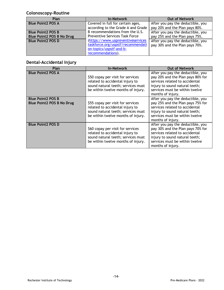# **Colonoscopy-Routine**

| Plan                             | <b>In-Network</b>                     | <b>Out of Network</b>             |
|----------------------------------|---------------------------------------|-----------------------------------|
| <b>Blue Point2 POS A</b>         | Covered in full for certain ages,     | After you pay the deductible, you |
|                                  | according to the Grade A and Grade    | pay 20% and the Plan pays 80%.    |
| <b>Blue Point2 POS B</b>         | B recommendations from the U.S.       | After you pay the deductible, you |
| <b>Blue Point2 POS B No Drug</b> | <b>Preventive Services Task Force</b> | pay 25% and the Plan pays 75%.    |
| <b>Blue Point2 POS D</b>         | (https://www.uspreventiveservices     | After you pay the deductible, you |
|                                  | taskforce.org/uspstf/recommendati     | pay 30% and the Plan pays 70%.    |
|                                  | on-topics/uspstf-and-b-               |                                   |
|                                  | recommendations).                     |                                   |

# **Dental-Accidental Injury**

| Plan                                                         | <b>In-Network</b>                                                                                                                                | <b>Out of Network</b>                                                                                                                                                                             |
|--------------------------------------------------------------|--------------------------------------------------------------------------------------------------------------------------------------------------|---------------------------------------------------------------------------------------------------------------------------------------------------------------------------------------------------|
| <b>Blue Point2 POS A</b>                                     | \$50 copay per visit for services<br>related to accidental injury to<br>sound natural teeth; services must<br>be within twelve months of injury. | After you pay the deductible, you<br>pay 20% and the Plan pays 80% for<br>services related to accidental<br>injury to sound natural teeth;<br>services must be within twelve<br>months of injury. |
| <b>Blue Point2 POS B</b><br><b>Blue Point2 POS B No Drug</b> | \$55 copay per visit for services<br>related to accidental injury to<br>sound natural teeth; services must<br>be within twelve months of injury. | After you pay the deductible, you<br>pay 25% and the Plan pays 75% for<br>services related to accidental<br>injury to sound natural teeth;<br>services must be within twelve<br>months of injury. |
| <b>Blue Point2 POS D</b>                                     | \$60 copay per visit for services<br>related to accidental injury to<br>sound natural teeth; services must<br>be within twelve months of injury. | After you pay the deductible, you<br>pay 30% and the Plan pays 70% for<br>services related to accidental<br>injury to sound natural teeth;<br>services must be within twelve<br>months of injury. |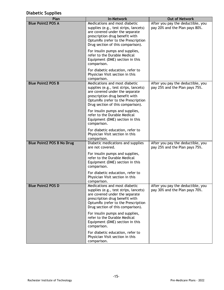# **Diabetic Supplies**

| Plan                             | <b>In-Network</b>                                                                                                                                                                                                     | <b>Out of Network</b>                                               |
|----------------------------------|-----------------------------------------------------------------------------------------------------------------------------------------------------------------------------------------------------------------------|---------------------------------------------------------------------|
| <b>Blue Point2 POS A</b>         | Medications and most diabetic<br>supplies (e.g., test strips, lancets)<br>are covered under the separate<br>prescription drug benefit with<br>OptumRx (refer to the Prescription<br>Drug section of this comparison). | After you pay the deductible, you<br>pay 20% and the Plan pays 80%. |
|                                  | For insulin pumps and supplies,<br>refer to the Durable Medical<br>Equipment (DME) section in this<br>comparison.                                                                                                     |                                                                     |
|                                  | For diabetic education, refer to<br>Physician Visit section in this<br>comparison.                                                                                                                                    |                                                                     |
| <b>Blue Point2 POS B</b>         | Medications and most diabetic<br>supplies (e.g., test strips, lancets)<br>are covered under the separate<br>prescription drug benefit with<br>OptumRx (refer to the Prescription<br>Drug section of this comparison). | After you pay the deductible, you<br>pay 25% and the Plan pays 75%. |
|                                  | For insulin pumps and supplies,<br>refer to the Durable Medical<br>Equipment (DME) section in this<br>comparison.                                                                                                     |                                                                     |
|                                  | For diabetic education, refer to<br>Physician Visit section in this<br>comparison.                                                                                                                                    |                                                                     |
| <b>Blue Point2 POS B No Drug</b> | Diabetic medications and supplies<br>are not covered.                                                                                                                                                                 | After you pay the deductible, you<br>pay 25% and the Plan pays 75%. |
|                                  | For insulin pumps and supplies,<br>refer to the Durable Medical<br>Equipment (DME) section in this<br>comparison.                                                                                                     |                                                                     |
|                                  | For diabetic education, refer to<br>Physician Visit section in this<br>comparison.                                                                                                                                    |                                                                     |
| <b>Blue Point2 POS D</b>         | Medications and most diabetic<br>supplies (e.g., test strips, lancets)<br>are covered under the separate<br>prescription drug benefit with<br>OptumRx (refer to the Prescription<br>Drug section of this comparison). | After you pay the deductible, you<br>pay 30% and the Plan pays 70%. |
|                                  | For insulin pumps and supplies,<br>refer to the Durable Medical<br>Equipment (DME) section in this<br>comparison.                                                                                                     |                                                                     |
|                                  | For diabetic education, refer to<br>Physician Visit section in this<br>comparison.                                                                                                                                    |                                                                     |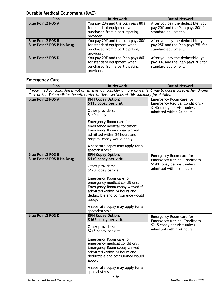# **Durable Medical Equipment (DME)**

| Plan                                                         | <b>In-Network</b>                                                                                               | <b>Out of Network</b>                                                                         |
|--------------------------------------------------------------|-----------------------------------------------------------------------------------------------------------------|-----------------------------------------------------------------------------------------------|
| <b>Blue Point2 POS A</b>                                     | You pay 20% and the plan pays 80%<br>for standard equipment when<br>purchased from a participating<br>provider. | After you pay the deductible, you<br>pay 20% and the Plan pays 80% for<br>standard equipment. |
| <b>Blue Point2 POS B</b><br><b>Blue Point2 POS B No Drug</b> | You pay 20% and the plan pays 80%<br>for standard equipment when<br>purchased from a participating<br>provider. | After you pay the deductible, you<br>pay 25% and the Plan pays 75% for<br>standard equipment. |
| <b>Blue Point2 POS D</b>                                     | You pay 20% and the Plan pays 80%<br>for standard equipment when<br>purchased from a participating<br>provider. | After you pay the deductible, you<br>pay 30% and the Plan pays 70% for<br>standard equipment. |

# **Emergency Care**

| Plan                                                                                                        | <b>In-Network</b>                                                                                                                                                        | <b>Out of Network</b>                                            |
|-------------------------------------------------------------------------------------------------------------|--------------------------------------------------------------------------------------------------------------------------------------------------------------------------|------------------------------------------------------------------|
| If your medical condition is not an emergency, consider a more convenient way to access care, either Urgent |                                                                                                                                                                          |                                                                  |
|                                                                                                             | Care or the Telemedicine benefit; refer to those sections of this summary for details.                                                                                   |                                                                  |
| <b>Blue Point2 POS A</b>                                                                                    | <b>RRH Copay Option:</b><br>\$115 copay per visit                                                                                                                        | Emergency Room care for<br><b>Emergency Medical Conditions -</b> |
|                                                                                                             | Other providers:<br>$$140$ copay                                                                                                                                         | \$140 copay per visit unless<br>admitted within 24 hours.        |
|                                                                                                             | Emergency Room care for<br>emergency medical conditions.<br>Emergency Room copay waived if<br>admitted within 24 hours and<br>hospital copay would apply.                |                                                                  |
|                                                                                                             | A separate copay may apply for a<br>specialist visit.                                                                                                                    |                                                                  |
| <b>Blue Point2 POS B</b><br><b>Blue Point2 POS B No Drug</b>                                                | <b>RRH Copay Option:</b><br>\$140 copay per visit                                                                                                                        | Emergency Room care for<br><b>Emergency Medical Conditions -</b> |
|                                                                                                             | Other providers:<br>\$190 copay per visit                                                                                                                                | \$190 copay per visit unless<br>admitted within 24 hours.        |
|                                                                                                             | Emergency Room care for<br>emergency medical conditions.<br>Emergency Room copay waived if<br>admitted within 24 hours and<br>deductible and coinsurance would<br>apply. |                                                                  |
|                                                                                                             | A separate copay may apply for a<br>specialist visit.                                                                                                                    |                                                                  |
| <b>Blue Point2 POS D</b>                                                                                    | <b>RRH Copay Option:</b><br>\$165 copay per visit                                                                                                                        | Emergency Room care for<br><b>Emergency Medical Conditions -</b> |
|                                                                                                             | Other providers:<br>\$215 copay per visit                                                                                                                                | \$215 copay per visit unless<br>admitted within 24 hours.        |
|                                                                                                             | Emergency Room care for<br>emergency medical conditions.<br>Emergency Room copay waived if<br>admitted within 24 hours and<br>deductible and coinsurance would<br>apply. |                                                                  |
|                                                                                                             | A separate copay may apply for a<br>specialist visit.                                                                                                                    |                                                                  |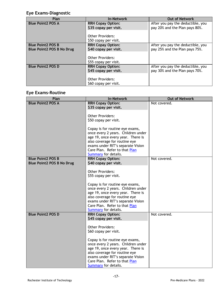# **Eye Exams-Diagnostic**

| Plan                             | <b>In-Network</b>        | <b>Out of Network</b>             |
|----------------------------------|--------------------------|-----------------------------------|
| <b>Blue Point2 POS A</b>         | <b>RRH Copay Option:</b> | After you pay the deductible, you |
|                                  | \$35 copay per visit.    | pay 20% and the Plan pays 80%.    |
|                                  | <b>Other Providers:</b>  |                                   |
|                                  | \$50 copay per visit.    |                                   |
| <b>Blue Point2 POS B</b>         | <b>RRH Copay Option:</b> | After you pay the deductible, you |
| <b>Blue Point2 POS B No Drug</b> | \$40 copay per visit.    | pay 25% and the Plan pays 75%.    |
|                                  | <b>Other Providers:</b>  |                                   |
|                                  | \$55 copay per visit.    |                                   |
| <b>Blue Point2 POS D</b>         | <b>RRH Copay Option:</b> | After you pay the deductible, you |
|                                  | \$45 copay per visit.    | pay 30% and the Plan pays 70%.    |
|                                  |                          |                                   |
|                                  | <b>Other Providers:</b>  |                                   |
|                                  | \$60 copay per visit.    |                                   |

# **Eye Exams-Routine**

| Plan                             | <b>In-Network</b>                                                                                                                                                                                                                                                                                                                                         | <b>Out of Network</b> |
|----------------------------------|-----------------------------------------------------------------------------------------------------------------------------------------------------------------------------------------------------------------------------------------------------------------------------------------------------------------------------------------------------------|-----------------------|
| <b>Blue Point2 POS A</b>         | <b>RRH Copay Option:</b><br>\$35 copay per visit.                                                                                                                                                                                                                                                                                                         | Not covered.          |
|                                  | <b>Other Providers:</b><br>\$50 copay per visit.                                                                                                                                                                                                                                                                                                          |                       |
|                                  | Copay is for routine eye exams,<br>once every 2 years. Children under<br>age 19, once every year. There is<br>also coverage for routine eye<br>exams under RIT's separate Vision<br>Care Plan. Refer to that Plan<br>Summary for details.                                                                                                                 |                       |
| <b>Blue Point2 POS B</b>         | <b>RRH Copay Option:</b>                                                                                                                                                                                                                                                                                                                                  | Not covered.          |
| <b>Blue Point2 POS B No Drug</b> | \$40 copay per visit.<br><b>Other Providers:</b><br>\$55 copay per visit.<br>Copay is for routine eye exams,<br>once every 2 years. Children under<br>age 19, once every year. There is<br>also coverage for routine eye<br>exams under RIT's separate Vision<br>Care Plan. Refer to that Plan<br><b>Summary</b> for details.                             |                       |
| <b>Blue Point2 POS D</b>         | <b>RRH Copay Option:</b><br>\$45 copay per visit.<br><b>Other Providers:</b><br>\$60 copay per visit.<br>Copay is for routine eye exams,<br>once every 2 years. Children under<br>age 19, once every year. There is<br>also coverage for routine eye<br>exams under RIT's separate Vision<br>Care Plan. Refer to that Plan<br><b>Summary</b> for details. | Not covered.          |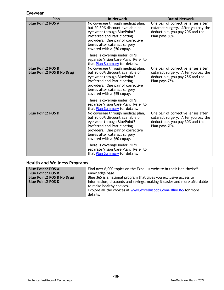#### **Eyewear**

| Plan                                                         | <b>In-Network</b>                                                                                                                                                                                                                       | <b>Out of Network</b>                                                                                                           |
|--------------------------------------------------------------|-----------------------------------------------------------------------------------------------------------------------------------------------------------------------------------------------------------------------------------------|---------------------------------------------------------------------------------------------------------------------------------|
| <b>Blue Point2 POS A</b>                                     | No coverage through medical plan,<br>but 20-50% discount available on<br>eye wear through BluePoint2<br>Preferred and Participating<br>providers. One pair of corrective<br>lenses after cataract surgery<br>covered with a \$50 copay. | One pair of corrective lenses after<br>cataract surgery. After you pay the<br>deductible, you pay 20% and the<br>Plan pays 80%. |
|                                                              | There is coverage under RIT's<br>separate Vision Care Plan. Refer to<br>that Plan Summary for details.                                                                                                                                  |                                                                                                                                 |
| <b>Blue Point2 POS B</b><br><b>Blue Point2 POS B No Drug</b> | No coverage through medical plan,<br>but 20-50% discount available on<br>eye wear through BluePoint2<br>Preferred and Participating<br>providers. One pair of corrective<br>lenses after cataract surgery<br>covered with a \$55 copay. | One pair of corrective lenses after<br>cataract surgery. After you pay the<br>deductible, you pay 25% and the<br>Plan pays 75%. |
|                                                              | There is coverage under RIT's<br>separate Vision Care Plan. Refer to<br>that Plan Summary for details.                                                                                                                                  |                                                                                                                                 |
| <b>Blue Point2 POS D</b>                                     | No coverage through medical plan,<br>but 20-50% discount available on<br>eye wear through BluePoint2<br>Preferred and Participating<br>providers. One pair of corrective<br>lenses after cataract surgery<br>covered with a \$60 copay. | One pair of corrective lenses after<br>cataract surgery. After you pay the<br>deductible, you pay 30% and the<br>Plan pays 70%. |
|                                                              | There is coverage under RIT's<br>separate Vision Care Plan. Refer to<br>that Plan Summary for details.                                                                                                                                  |                                                                                                                                 |

# **Health and Wellness Programs**

| <b>Blue Point2 POS A</b>         | Find over 6,000 topics on the Excellus website in their Healthwise <sup>®</sup> |
|----------------------------------|---------------------------------------------------------------------------------|
| <b>Blue Point2 POS B</b>         | Knowledge base.                                                                 |
| <b>Blue Point2 POS B No Drug</b> | Blue 365 is a national program that gives you exclusive access to               |
| <b>Blue Point2 POS D</b>         | information, discounts and savings, making it easier and more affordable        |
|                                  | to make healthy choices.                                                        |
|                                  | Explore all the choices at www.excellusbcbs.com/Blue365 for more                |
|                                  | details.                                                                        |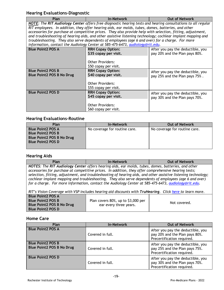#### **Hearing Evaluations-Diagnostic**

| ncarnig Evaluations Diagnostic                                                                               |                                                                                                             |                                   |  |
|--------------------------------------------------------------------------------------------------------------|-------------------------------------------------------------------------------------------------------------|-----------------------------------|--|
| Plan                                                                                                         | <b>In-Network</b>                                                                                           | <b>Out of Network</b>             |  |
| NOTE: The RIT Audiology Center offers free diagnostic hearing tests and hearing consultations to all regular |                                                                                                             |                                   |  |
|                                                                                                              | RIT employees. In addition, they offer hearing aids, ear molds, tubes, domes, batteries, and other          |                                   |  |
|                                                                                                              | accessories for purchase at competitive prices. They also provide help with selection, fitting, adjustment, |                                   |  |
|                                                                                                              | and troubleshooting of hearing aids, and other assistive listening technology; cochlear implant mapping and |                                   |  |
|                                                                                                              | troubleshooting. They also serve dependents of employees (age 6 and over) for a charge. For more            |                                   |  |
|                                                                                                              | information, contact the Audiology Center at 585-475-6473, audiology@rit.edu.                               |                                   |  |
| <b>Blue Point2 POS A</b>                                                                                     | <b>RRH Copay Option:</b>                                                                                    | After you pay the deductible, you |  |
|                                                                                                              | \$35 copay per visit.                                                                                       | pay 20% and the Plan pays 80%.    |  |
|                                                                                                              |                                                                                                             |                                   |  |
|                                                                                                              | <b>Other Providers:</b>                                                                                     |                                   |  |
|                                                                                                              | \$50 copay per visit.                                                                                       |                                   |  |
| <b>Blue Point2 POS B</b>                                                                                     | <b>RRH Copay Option:</b>                                                                                    | After you pay the deductible, you |  |
| <b>Blue Point2 POS B No Drug</b>                                                                             | \$40 copay per visit.                                                                                       | pay 25% and the Plan pays 75%.    |  |
|                                                                                                              |                                                                                                             |                                   |  |
|                                                                                                              | <b>Other Providers:</b>                                                                                     |                                   |  |
|                                                                                                              | \$55 copay per visit.                                                                                       |                                   |  |
| <b>Blue Point2 POS D</b>                                                                                     | <b>RRH Copay Option:</b>                                                                                    | After you pay the deductible, you |  |
|                                                                                                              | \$45 copay per visit.                                                                                       | pay 30% and the Plan pays 70%.    |  |
|                                                                                                              |                                                                                                             |                                   |  |
|                                                                                                              | <b>Other Providers:</b>                                                                                     |                                   |  |
|                                                                                                              | \$60 copay per visit.                                                                                       |                                   |  |

#### **Hearing Evaluations-Routine**

| Plan                             | <b>In-Network</b>             | <b>Out of Network</b>         |
|----------------------------------|-------------------------------|-------------------------------|
| <b>Blue Point2 POS A</b>         | No coverage for routine care. | No coverage for routine care. |
| <b>Blue Point2 POS B</b>         |                               |                               |
| <b>Blue Point2 POS B No Drug</b> |                               |                               |
| <b>Blue Point2 POS D</b>         |                               |                               |
|                                  |                               |                               |

#### **Hearing Aids**

**Plan In-Network In-Network Out of Network** *NOTES: The RIT Audiology Center offers hearing aids, ear molds, tubes, domes, batteries, and other accessories for purchase at competitive prices. In addition, they offer comprehensive hearing tests; selection, fitting, adjustment, and troubleshooting of hearing aids, and other assistive listening technology; cochlear implant mapping and troubleshooting. They also serve dependents of employees (age 6 and over) for a charge. For more information, contact the Audiology Center at 585-475-6473, [audiology@rit.edu.](mailto:audiology@rit.edu)*

*RIT's Vision Coverage with VSP includes hearing aid discounts with TruHearing. Click [here t](https://www.rit.edu/fa/humanresources/sites/rit.edu.fa.humanresources/files/docs/VSP_TruHearing_Hearing%20Aid_Discount_Offer.pdf)o learn more.*

| <b>Blue Point2 POS A</b><br><b>Blue Point 2 POS B</b> | Plan covers 80%, up to \$3,000 per |              |
|-------------------------------------------------------|------------------------------------|--------------|
| Blue Point2 POS B No Drug<br><b>Blue Point2 POS D</b> | ear every three years.             | Not covered. |

#### **Home Care**

| Plan                                                         | <b>In-Network</b> | <b>Out of Network</b>                                                                             |
|--------------------------------------------------------------|-------------------|---------------------------------------------------------------------------------------------------|
| <b>Blue Point2 POS A</b>                                     | Covered in full.  | After you pay the deductible, you<br>pay 20% and the Plan pays 80%.<br>Precertification required. |
| <b>Blue Point2 POS B</b><br><b>Blue Point2 POS B No Drug</b> | Covered in full.  | After you pay the deductible, you<br>pay 25% and the Plan pays 75%.<br>Precertification required. |
| <b>Blue Point2 POS D</b>                                     | Covered in full.  | After you pay the deductible, you<br>pay 30% and the Plan pays 70%.<br>Precertification required. |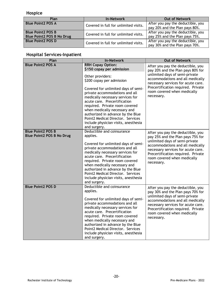# **Hospice**

| Plan                                                         | <b>In-Network</b>                     | <b>Out of Network</b>                                               |
|--------------------------------------------------------------|---------------------------------------|---------------------------------------------------------------------|
| <b>Blue Point2 POS A</b>                                     | Covered in full for unlimited visits. | After you pay the deductible, you<br>pay 20% and the Plan pays 80%. |
| <b>Blue Point2 POS B</b><br><b>Blue Point2 POS B No Drug</b> | Covered in full for unlimited visits. | After you pay the deductible, you<br>pay 25% and the Plan pays 75%. |
| <b>Blue Point2 POS D</b>                                     | Covered in full for unlimited visits. | After you pay the deductible, you<br>pay 30% and the Plan pays 70%. |

# **Hospital Services-Inpatient**

| Plan                                                         | <b>In-Network</b>                                                                                                                                                                                                                                                                                                                                                                                                                                       | <b>Out of Network</b>                                                                                                                                                                                                                                                 |
|--------------------------------------------------------------|---------------------------------------------------------------------------------------------------------------------------------------------------------------------------------------------------------------------------------------------------------------------------------------------------------------------------------------------------------------------------------------------------------------------------------------------------------|-----------------------------------------------------------------------------------------------------------------------------------------------------------------------------------------------------------------------------------------------------------------------|
| <b>Blue Point2 POS A</b>                                     | <b>RRH Copay Option:</b><br>\$150 copay per admission<br>Other providers:<br>\$200 copay per admission<br>Covered for unlimited days of semi-<br>private accommodations and all<br>medically necessary services for<br>acute care. Precertification<br>required. Private room covered<br>when medically necessary and<br>authorized in advance by the Blue<br>Point2 Medical Director. Services<br>include physician visits, anesthesia<br>and surgery. | After you pay the deductible, you<br>pay 20% and the Plan pays 80% for<br>unlimited days of semi-private<br>accommodations and all medically<br>necessary services for acute care.<br>Precertification required. Private<br>room covered when medically<br>necessary. |
| <b>Blue Point2 POS B</b><br><b>Blue Point2 POS B No Drug</b> | Deductible and coinsurance<br>applies.<br>Covered for unlimited days of semi-<br>private accommodations and all<br>medically necessary services for<br>acute care. Precertification<br>required. Private room covered<br>when medically necessary and<br>authorized in advance by the Blue<br>Point2 Medical Director. Services<br>include physician visits, anesthesia<br>and surgery.                                                                 | After you pay the deductible, you<br>pay 25% and the Plan pays 75% for<br>unlimited days of semi-private<br>accommodations and all medically<br>necessary services for acute care.<br>Precertification required. Private<br>room covered when medically<br>necessary. |
| <b>Blue Point2 POS D</b>                                     | Deductible and coinsurance<br>applies.<br>Covered for unlimited days of semi-<br>private accommodations and all<br>medically necessary services for<br>acute care. Precertification<br>required. Private room covered<br>when medically necessary and<br>authorized in advance by the Blue<br>Point2 Medical Director. Services<br>include physician visits, anesthesia<br>and surgery.                                                                 | After you pay the deductible, you<br>pay 30% and the Plan pays 70% for<br>unlimited days of semi-private<br>accommodations and all medically<br>necessary services for acute care.<br>Precertification required. Private<br>room covered when medically<br>necessary. |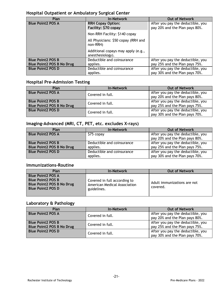#### **Hospital Outpatient or Ambulatory Surgical Center**

| Plan                             | <b>In-Network</b>                                      | <b>Out of Network</b>                                               |
|----------------------------------|--------------------------------------------------------|---------------------------------------------------------------------|
| <b>Blue Point2 POS A</b>         | <b>RRH Copay Option:</b><br>Facility: \$70 copay       | After you pay the deductible, you<br>pay 20% and the Plan pays 80%. |
|                                  | Non-RRH Facility: \$140 copay                          |                                                                     |
|                                  | All Physicians: \$50 copay (RRH and<br>non-RRH)        |                                                                     |
|                                  | Additional copays may apply (e.g.,<br>anesthesiology). |                                                                     |
| <b>Blue Point2 POS B</b>         | Deductible and coinsurance                             | After you pay the deductible, you                                   |
| <b>Blue Point2 POS B No Drug</b> | applies.                                               | pay 25% and the Plan pays 75%.                                      |
| <b>Blue Point2 POS D</b>         | Deductible and coinsurance<br>applies.                 | After you pay the deductible, you<br>pay 30% and the Plan pays 70%. |

# **Hospital Pre-Admission Testing**

| Plan                                                         | <b>In-Network</b> | <b>Out of Network</b>                                               |
|--------------------------------------------------------------|-------------------|---------------------------------------------------------------------|
| <b>Blue Point2 POS A</b>                                     | Covered in full.  | After you pay the deductible, you<br>pay 20% and the Plan pays 80%. |
| <b>Blue Point2 POS B</b><br><b>Blue Point2 POS B No Drug</b> | Covered in full.  | After you pay the deductible, you<br>pay 25% and the Plan pays 75%. |
| <b>Blue Point2 POS D</b>                                     | Covered in full.  | After you pay the deductible, you<br>pay 30% and the Plan pays 70%. |

# **Imaging-Advanced (MRI, CT, PET, etc. excludes X-rays)**

| Plan                             | <b>In-Network</b>          | <b>Out of Network</b>             |
|----------------------------------|----------------------------|-----------------------------------|
| <b>Blue Point2 POS A</b>         | \$75 copay                 | After you pay the deductible, you |
|                                  |                            | pay 20% and the Plan pays 80%.    |
| <b>Blue Point2 POS B</b>         | Deductible and coinsurance | After you pay the deductible, you |
| <b>Blue Point2 POS B No Drug</b> | applies.                   | pay 25% and the Plan pays 75%.    |
| <b>Blue Point2 POS D</b>         | Deductible and coinsurance | After you pay the deductible, you |
|                                  | applies.                   | pay 30% and the Plan pays 70%.    |

#### **Immunizations-Routine**

| Plan                                                                                                                 | <b>In-Network</b>                                                           | <b>Out of Network</b>                   |
|----------------------------------------------------------------------------------------------------------------------|-----------------------------------------------------------------------------|-----------------------------------------|
| <b>Blue Point2 POS A</b><br><b>Blue Point2 POS B</b><br><b>Blue Point2 POS B No Drug</b><br><b>Blue Point2 POS D</b> | Covered in full according to<br>American Medical Association<br>guidelines. | Adult immunizations are not<br>covered. |

#### **Laboratory & Pathology**

| Plan                                                         | <b>In-Network</b> | <b>Out of Network</b>                                               |
|--------------------------------------------------------------|-------------------|---------------------------------------------------------------------|
| <b>Blue Point2 POS A</b>                                     | Covered in full.  | After you pay the deductible, you<br>pay 20% and the Plan pays 80%. |
| <b>Blue Point2 POS B</b><br><b>Blue Point2 POS B No Drug</b> | Covered in full.  | After you pay the deductible, you<br>pay 25% and the Plan pays 75%. |
| <b>Blue Point2 POS D</b>                                     | Covered in full.  | After you pay the deductible, you<br>pay 30% and the Plan pays 70%. |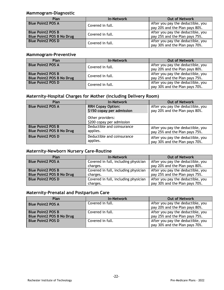#### **Mammogram-Diagnostic**

| Plan                                                         | <b>In-Network</b> | <b>Out of Network</b>                                               |
|--------------------------------------------------------------|-------------------|---------------------------------------------------------------------|
| <b>Blue Point2 POS A</b>                                     | Covered in full.  | After you pay the deductible, you<br>pay 20% and the Plan pays 80%. |
| <b>Blue Point2 POS B</b><br><b>Blue Point2 POS B No Drug</b> | Covered in full.  | After you pay the deductible, you<br>pay 25% and the Plan pays 75%. |
| <b>Blue Point2 POS D</b>                                     | Covered in full.  | After you pay the deductible, you<br>pay 30% and the Plan pays 70%. |

# **Mammogram-Preventive**

| Plan                                                         | <b>In-Network</b> | <b>Out of Network</b>                                               |
|--------------------------------------------------------------|-------------------|---------------------------------------------------------------------|
| <b>Blue Point2 POS A</b>                                     | Covered in full.  | After you pay the deductible, you<br>pay 20% and the Plan pays 80%. |
| <b>Blue Point2 POS B</b><br><b>Blue Point2 POS B No Drug</b> | Covered in full.  | After you pay the deductible, you<br>pay 25% and the Plan pays 75%. |
| <b>Blue Point2 POS D</b>                                     | Covered in full.  | After you pay the deductible, you<br>pay 30% and the Plan pays 70%. |

#### **Maternity-Hospital Charges for Mother (including Delivery Room)**

| Plan                                                         | <b>In-Network</b>                                                                                      | <b>Out of Network</b>                                               |
|--------------------------------------------------------------|--------------------------------------------------------------------------------------------------------|---------------------------------------------------------------------|
| <b>Blue Point2 POS A</b>                                     | <b>RRH Copay Option:</b><br>\$150 copay per admission<br>Other providers:<br>\$200 copay per admission | After you pay the deductible, you<br>pay 20% and the Plan pays 80%. |
| <b>Blue Point2 POS B</b><br><b>Blue Point2 POS B No Drug</b> | Deductible and coinsurance<br>applies.                                                                 | After you pay the deductible, you<br>pay 25% and the Plan pays 75%. |
| <b>Blue Point2 POS D</b>                                     | Deductible and coinsurance<br>applies.                                                                 | After you pay the deductible, you<br>pay 30% and the Plan pays 70%. |

#### **Maternity-Newborn Nursery Care-Routine**

| Plan                             | <b>In-Network</b>                    | <b>Out of Network</b>             |
|----------------------------------|--------------------------------------|-----------------------------------|
| <b>Blue Point2 POS A</b>         | Covered in full, including physician | After you pay the deductible, you |
|                                  | charges.                             | pay 20% and the Plan pays 80%.    |
| <b>Blue Point2 POS B</b>         | Covered in full, including physician | After you pay the deductible, you |
| <b>Blue Point2 POS B No Drug</b> | charges.                             | pay 25% and the Plan pays 75%.    |
| <b>Blue Point2 POS D</b>         | Covered in full, including physician | After you pay the deductible, you |
|                                  | charges.                             | pay 30% and the Plan pays 70%.    |

# **Maternity-Prenatal and Postpartum Care**

| Plan                             | <b>In-Network</b> | <b>Out of Network</b>                                               |
|----------------------------------|-------------------|---------------------------------------------------------------------|
| <b>Blue Point2 POS A</b>         | Covered in full.  | After you pay the deductible, you<br>pay 20% and the Plan pays 80%. |
| <b>Blue Point2 POS B</b>         | Covered in full.  | After you pay the deductible, you                                   |
| <b>Blue Point2 POS B No Drug</b> |                   | pay 25% and the Plan pays 75%.                                      |
| <b>Blue Point2 POS D</b>         | Covered in full.  | After you pay the deductible, you<br>pay 30% and the Plan pays 70%. |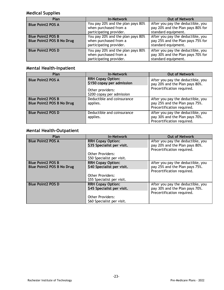# **Medical Supplies**

| Plan                                                  | In-Network                                                                            | <b>Out of Network</b>                                                                         |
|-------------------------------------------------------|---------------------------------------------------------------------------------------|-----------------------------------------------------------------------------------------------|
| <b>Blue Point2 POS A</b>                              | You pay 20% and the plan pays 80%<br>when purchased from a<br>participating provider. | After you pay the deductible, you<br>pay 20% and the Plan pays 80% for<br>standard equipment. |
| <b>Blue Point2 POS B</b><br>Blue Point2 POS B No Drug | You pay 20% and the plan pays 80%<br>when purchased from a<br>participating provider. | After you pay the deductible, you<br>pay 25% and the Plan pays 75% for<br>standard equipment. |
| <b>Blue Point2 POS D</b>                              | You pay 20% and the plan pays 80%<br>when purchased from a<br>participating provider. | After you pay the deductible, you<br>pay 30% and the Plan pays 70% for<br>standard equipment. |

# **Mental Health-Inpatient**

| Plan                                                         | <b>In-Network</b>                                                                                      | <b>Out of Network</b>                                                                             |
|--------------------------------------------------------------|--------------------------------------------------------------------------------------------------------|---------------------------------------------------------------------------------------------------|
| <b>Blue Point2 POS A</b>                                     | <b>RRH Copay Option:</b><br>\$150 copay per admission<br>Other providers:<br>\$200 copay per admission | After you pay the deductible, you<br>pay 20% and the Plan pays 80%.<br>Precertification required. |
| <b>Blue Point2 POS B</b><br><b>Blue Point2 POS B No Drug</b> | Deductible and coinsurance<br>applies.                                                                 | After you pay the deductible, you<br>pay 25% and the Plan pays 75%.<br>Precertification required. |
| <b>Blue Point2 POS D</b>                                     | Deductible and coinsurance<br>applies.                                                                 | After you pay the deductible, you<br>pay 30% and the Plan pays 70%.<br>Precertification required. |

# **Mental Health-Outpatient**

| <b>Plan</b>                      | <b>In-Network</b>          | <b>Out of Network</b>             |
|----------------------------------|----------------------------|-----------------------------------|
| <b>Blue Point2 POS A</b>         | <b>RRH Copay Option:</b>   | After you pay the deductible, you |
|                                  | \$35 Specialist per visit. | pay 20% and the Plan pays 80%.    |
|                                  |                            | Precertification required.        |
|                                  | <b>Other Providers:</b>    |                                   |
|                                  | \$50 Specialist per visit. |                                   |
| <b>Blue Point2 POS B</b>         | <b>RRH Copay Option:</b>   | After you pay the deductible, you |
| <b>Blue Point2 POS B No Drug</b> | \$40 Specialist per visit. | pay 25% and the Plan pays 75%.    |
|                                  |                            | Precertification required.        |
|                                  | <b>Other Providers:</b>    |                                   |
|                                  | \$55 Specialist per visit. |                                   |
| <b>Blue Point2 POS D</b>         | <b>RRH Copay Option:</b>   | After you pay the deductible, you |
|                                  | \$45 Specialist per visit. | pay 30% and the Plan pays 70%.    |
|                                  |                            | Precertification required.        |
|                                  | <b>Other Providers:</b>    |                                   |
|                                  | \$60 Specialist per visit. |                                   |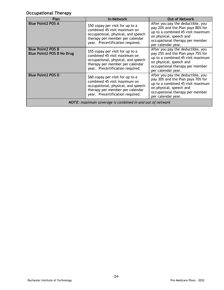# **Occupational Therapy**

| <b>Plan</b>                                                     | <b>In-Network</b>                                                                                                                                                             | <b>Out of Network</b>                                                                                                                                                                           |
|-----------------------------------------------------------------|-------------------------------------------------------------------------------------------------------------------------------------------------------------------------------|-------------------------------------------------------------------------------------------------------------------------------------------------------------------------------------------------|
| <b>Blue Point2 POS A</b>                                        | \$50 copay per visit for up to a<br>combined 45 visit maximum on<br>occupational, physical, and speech<br>therapy per member per calendar<br>year. Precertification required. | After you pay the deductible, you<br>pay 20% and the Plan pays 80% for<br>up to a combined 45 visit maximum<br>on physical, speech and<br>occupational therapy per member<br>per calendar year. |
| <b>Blue Point2 POS B</b><br><b>Blue Point2 POS B No Drug</b>    | \$55 copay per visit for up to a<br>combined 45 visit maximum on<br>occupational, physical, and speech<br>therapy per member per calendar<br>year. Precertification required. | After you pay the deductible, you<br>pay 25% and the Plan pays 75% for<br>up to a combined 45 visit maximum<br>on physical, speech and<br>occupational therapy per member<br>per calendar year. |
| <b>Blue Point2 POS D</b>                                        | \$60 copay per visit for up to a<br>combined 45 visit maximum on<br>occupational, physical, and speech<br>therapy per member per calendar<br>year. Precertification required. | After you pay the deductible, you<br>pay 30% and the Plan pays 70% for<br>up to a combined 45 visit maximum<br>on physical, speech and<br>occupational therapy per member<br>per calendar year. |
| <b>NOTE:</b> maximum coverage is combined in and out of network |                                                                                                                                                                               |                                                                                                                                                                                                 |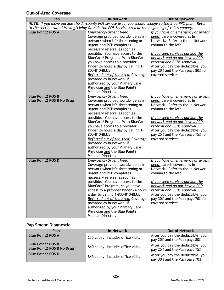# **Out-of-Area Coverage**

| Plan                                                         | <b>In-Network</b>                                                                                                                                                                                                                                                                                                                                                                                                                                                                          | <b>Out of Network</b>                                                                                                                                                                                                                                                                                                                  |
|--------------------------------------------------------------|--------------------------------------------------------------------------------------------------------------------------------------------------------------------------------------------------------------------------------------------------------------------------------------------------------------------------------------------------------------------------------------------------------------------------------------------------------------------------------------------|----------------------------------------------------------------------------------------------------------------------------------------------------------------------------------------------------------------------------------------------------------------------------------------------------------------------------------------|
|                                                              | NOTE: If you move outside the 31-county POS service area, you should change to the Blue PPO plan. Refer                                                                                                                                                                                                                                                                                                                                                                                    |                                                                                                                                                                                                                                                                                                                                        |
|                                                              | to the section called Moving/Living Outside the POS Service Area at the beginning of this summary.                                                                                                                                                                                                                                                                                                                                                                                         |                                                                                                                                                                                                                                                                                                                                        |
| <b>Blue Point2 POS A</b>                                     | Emergency/Urgent Need:<br>Coverage provided worldwide as in-<br>network when life threatening or<br>urgent and PCP completes<br>necessary referral as soon as<br>possible. You have access to the<br>BlueCard® Program. With BlueCard<br>you have access to a provider<br>finder 24 hours a day by calling 1-<br>800-810-BLUE.<br>Referred out of the Area: Coverage                                                                                                                       | If you have an emergency or urgent<br>need, care is covered as In<br>Network. Refer to the In-Network<br>column to the left.<br>If you seek services outside the<br>network and do not have a PCP<br>referral and BCBS Approval:<br>After you pay the deductible, you<br>pay 20% and the Plan pays 80% for<br>covered services.        |
|                                                              | provided as in-network if<br>authorized by your Primary Care<br>Physician and the Blue Point2<br>Medical Director.                                                                                                                                                                                                                                                                                                                                                                         |                                                                                                                                                                                                                                                                                                                                        |
| <b>Blue Point2 POS B</b><br><b>Blue Point2 POS B No Drug</b> | Emergency/Urgent Need:<br>Coverage provided worldwide as in-<br>network when life threatening or<br>urgent and PCP completes<br>necessary referral as soon as<br>possible. You have access to the<br>BlueCard® Program. With BlueCard<br>you have access to a provider<br>finder 24 hours a day by calling 1-<br>800-810-BLUE.<br>Referred out of the Area: Coverage<br>provided as in-network if<br>authorized by your Primary Care<br>Physician and the Blue Point2<br>Medical Director. | If you have an emergency or urgent<br>need, care is covered as In<br>Network. Refer to the In-Network<br>column to the left.<br>If you seek services outside the<br>network and do not have a PCP<br>referral and BCBS Approval:<br>After you pay the deductible, you<br>pay 25% and the Plan pays 75% for<br>covered services.        |
| <b>Blue Point2 POS D</b>                                     | Emergency/Urgent Need:<br>Coverage provided worldwide as in-<br>network when life threatening or<br>urgent and PCP completes<br>necessary referral as soon as<br>possible. You have access to the<br>BlueCard® Program, so you have<br>access to a provider finder 24 hours<br>a day by calling 1-800-810-BLUE.<br>Referred out of the Area: Coverage<br>provided as in-network if<br>authorized by your Primary Care<br>Physician and the Blue Point2<br>Medical Director.                | <u>If you have an emergency or urgent</u><br>need, care is covered as In<br>Network. Refer to the In-Network<br>column to the left.<br>If you seek services outside the<br>network and do not have a PCP<br>referral and BCBS Approval:<br>After you pay the deductible, you<br>pay 30% and the Plan pays 70% for<br>covered services. |

# **Pap Smear-Diagnostic**

| Plan                                                         | <b>In-Network</b>                  | <b>Out of Network</b>                                               |
|--------------------------------------------------------------|------------------------------------|---------------------------------------------------------------------|
| <b>Blue Point2 POS A</b>                                     | \$35 copay, includes office visit. | After you pay the deductible, you<br>pay 20% and the Plan pays 80%. |
| <b>Blue Point2 POS B</b><br><b>Blue Point2 POS B No Drug</b> | \$40 copay, includes office visit. | After you pay the deductible, you<br>pay 25% and the Plan pays 75%. |
| <b>Blue Point2 POS D</b>                                     | \$45 copay, includes office visit. | After you pay the deductible, you<br>pay 30% and the Plan pays 70%. |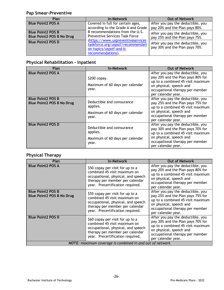# **Pap Smear-Preventive**

| Plan                                                         | <b>In-Network</b>                                                                                                      | <b>Out of Network</b>                                               |
|--------------------------------------------------------------|------------------------------------------------------------------------------------------------------------------------|---------------------------------------------------------------------|
| <b>Blue Point2 POS A</b>                                     | Covered in full for certain ages,<br>according to the Grade A and Grade                                                | After you pay the deductible, you<br>pay 20% and the Plan pays 80%. |
| <b>Blue Point2 POS B</b><br><b>Blue Point2 POS B No Drug</b> | B recommendations from the U.S.<br><b>Preventive Services Task Force</b>                                               | After you pay the deductible, you<br>pay 25% and the Plan pays 75%. |
| <b>Blue Point2 POS D</b>                                     | (https://www.uspreventiveservices<br>taskforce.org/uspstf/recommendati<br>on-topics/uspstf-and-b-<br>recommendations). | After you pay the deductible, you<br>pay 30% and the Plan pays 70%. |

# **Physical Rehabilitation – Inpatient**

| <b>Plan</b>                                                  | <b>In-Network</b>                                                                  | <b>Out of Network</b>                                                                                                                                                                           |
|--------------------------------------------------------------|------------------------------------------------------------------------------------|-------------------------------------------------------------------------------------------------------------------------------------------------------------------------------------------------|
| <b>Blue Point2 POS A</b>                                     | $$200$ copay.<br>Maximum of 60 days per calendar<br>year.                          | After you pay the deductible, you<br>pay 20% and the Plan pays 80% for<br>up to a combined 45 visit maximum<br>on physical, speech and<br>occupational therapy per member<br>per calendar year. |
| <b>Blue Point2 POS B</b><br><b>Blue Point2 POS B No Drug</b> | Deductible and coinsurance<br>applies.<br>Maximum of 60 days per calendar<br>year. | After you pay the deductible, you<br>pay 25% and the Plan pays 75% for<br>up to a combined 45 visit maximum<br>on physical, speech and<br>occupational therapy per member<br>per calendar year. |
| <b>Blue Point2 POS D</b>                                     | Deductible and coinsurance<br>applies.<br>Maximum of 60 days per calendar<br>year. | After you pay the deductible, you<br>pay 30% and the Plan pays 70% for<br>up to a combined 45 visit maximum<br>on physical, speech and<br>occupational therapy per member<br>per calendar year. |

# **Physical Therapy**

| <b>Plan</b>                                                  | <b>In-Network</b>                                                                                                                                                             | <b>Out of Network</b>                                                                                                                                                                           |  |
|--------------------------------------------------------------|-------------------------------------------------------------------------------------------------------------------------------------------------------------------------------|-------------------------------------------------------------------------------------------------------------------------------------------------------------------------------------------------|--|
| <b>Blue Point2 POS A</b>                                     | \$50 copay per visit for up to a<br>combined 45 visit maximum on<br>occupational, physical, and speech<br>therapy per member per calendar<br>year. Precertification required. | After you pay the deductible, you<br>pay 20% and the Plan pays 80% for<br>up to a combined 45 visit maximum<br>on physical, speech and<br>occupational therapy per member<br>per calendar year. |  |
| <b>Blue Point2 POS B</b><br><b>Blue Point2 POS B No Drug</b> | \$55 copay per visit for up to a<br>combined 45 visit maximum on<br>occupational, physical, and speech<br>therapy per member per calendar<br>year. Precertification required. | After you pay the deductible, you<br>pay 25% and the Plan pays 75% for<br>up to a combined 45 visit maximum<br>on physical, speech and<br>occupational therapy per member<br>per calendar year. |  |
| <b>Blue Point2 POS D</b>                                     | \$60 copay per visit for up to a<br>combined 45 visit maximum on<br>occupational, physical, and speech<br>therapy per member per calendar<br>year. Precertification required. | After you pay the deductible, you<br>pay 30% and the Plan pays 70% for<br>up to a combined 45 visit maximum<br>on physical, speech and<br>occupational therapy per member<br>per calendar year. |  |
| NOTE: maximum coverage is combined in and out of network     |                                                                                                                                                                               |                                                                                                                                                                                                 |  |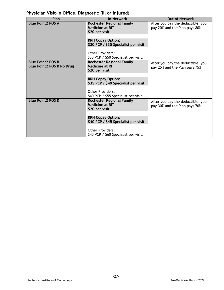# **Physician Visit–In Office, Diagnostic (ill or injured)**

| Plan                                                         | <b>In-Network</b>                                                            | <b>Out of Network</b>                                               |
|--------------------------------------------------------------|------------------------------------------------------------------------------|---------------------------------------------------------------------|
| <b>Blue Point2 POS A</b>                                     | <b>Rochester Regional Family</b><br><b>Medicine at RIT</b><br>\$20 per visit | After you pay the deductible, you<br>pay 20% and the Plan pays 80%. |
|                                                              | <b>RRH Copay Option:</b><br>\$30 PCP / \$35 Specialist per visit.            |                                                                     |
|                                                              | <b>Other Providers:</b><br>\$35 PCP / \$50 Specialist per visit.             |                                                                     |
| <b>Blue Point2 POS B</b><br><b>Blue Point2 POS B No Drug</b> | <b>Rochester Regional Family</b><br><b>Medicine at RIT</b><br>\$20 per visit | After you pay the deductible, you<br>pay 25% and the Plan pays 75%. |
|                                                              | <b>RRH Copay Option:</b><br>\$35 PCP / \$40 Specialist per visit.            |                                                                     |
|                                                              | <b>Other Providers:</b><br>\$40 PCP / \$55 Specialist per visit.             |                                                                     |
| <b>Blue Point2 POS D</b>                                     | <b>Rochester Regional Family</b><br><b>Medicine at RIT</b><br>\$20 per visit | After you pay the deductible, you<br>pay 30% and the Plan pays 70%. |
|                                                              | <b>RRH Copay Option:</b><br>\$40 PCP / \$45 Specialist per visit.            |                                                                     |
|                                                              | <b>Other Providers:</b><br>\$45 PCP / \$60 Specialist per visit.             |                                                                     |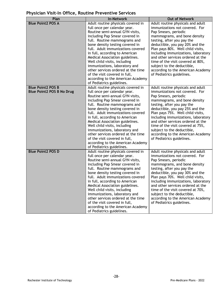# **Physician Visit–In Office, Routine Preventive Services**

| Plan                             | <b>In-Network</b>                                                    | <b>Out of Network</b>                                                    |
|----------------------------------|----------------------------------------------------------------------|--------------------------------------------------------------------------|
| <b>Blue Point2 POS A</b>         | Adult routine physicals covered in                                   | Adult routine physicals and adult                                        |
|                                  | full once per calendar year.                                         | immunizations not covered. For                                           |
|                                  | Routine semi-annual GYN visits,                                      | Pap Smears, periodic                                                     |
|                                  | including Pap Smear covered in                                       | mammograms, and bone density                                             |
|                                  | full. Routine mammograms and                                         | testing, after you pay the                                               |
|                                  | bone density testing covered in                                      | deductible, you pay 20% and the                                          |
|                                  | full. Adult immunizations covered                                    | Plan pays 80%. Well child visits,                                        |
|                                  | in full, according to American<br>Medical Association guidelines.    | including immunizations, laboratory<br>and other services ordered at the |
|                                  | Well child visits, including                                         | time of the visit covered at 80%,                                        |
|                                  | immunizations, laboratory and                                        | subject to the deductible,                                               |
|                                  | other services ordered at the time                                   | according to the American Academy                                        |
|                                  | of the visit covered in full,                                        | of Pediatrics guidelines.                                                |
|                                  | according to the American Academy                                    |                                                                          |
|                                  | of Pediatrics guidelines.                                            |                                                                          |
| <b>Blue Point2 POS B</b>         | Adult routine physicals covered in                                   | Adult routine physicals and adult                                        |
| <b>Blue Point2 POS B No Drug</b> | full once per calendar year.                                         | immunizations not covered. For                                           |
|                                  | Routine semi-annual GYN visits,                                      | Pap Smears, periodic                                                     |
|                                  | including Pap Smear covered in                                       | mammograms, and bone density                                             |
|                                  | full. Routine mammograms and                                         | testing, after you pay the                                               |
|                                  | bone density testing covered in<br>full. Adult immunizations covered | deductible, you pay 25% and the<br>Plan pays 75%. Well child visits,     |
|                                  | in full, according to American                                       | including immunizations, laboratory                                      |
|                                  | Medical Association guidelines.                                      | and other services ordered at the                                        |
|                                  | Well child visits, including                                         | time of the visit covered at 75%,                                        |
|                                  | immunizations, laboratory and                                        | subject to the deductible,                                               |
|                                  | other services ordered at the time                                   | according to the American Academy                                        |
|                                  | of the visit covered in full,                                        | of Pediatrics guidelines.                                                |
|                                  | according to the American Academy                                    |                                                                          |
|                                  | of Pediatrics guidelines.                                            |                                                                          |
| <b>Blue Point2 POS D</b>         | Adult routine physicals covered in                                   | Adult routine physicals and adult                                        |
|                                  | full once per calendar year.                                         | immunizations not covered. For                                           |
|                                  | Routine semi-annual GYN visits,                                      | Pap Smears, periodic                                                     |
|                                  | including Pap Smear covered in                                       | mammograms, and bone density<br>testing, after you pay the               |
|                                  | full. Routine mammograms and<br>bone density testing covered in      | deductible, you pay 30% and the                                          |
|                                  | full. Adult immunizations covered                                    | Plan pays 70%. Well child visits,                                        |
|                                  | in full, according to American                                       | including immunizations, laboratory                                      |
|                                  | Medical Association guidelines.                                      | and other services ordered at the                                        |
|                                  | Well child visits, including                                         | time of the visit covered at 70%,                                        |
|                                  | immunizations, laboratory and                                        | subject to the deductible,                                               |
|                                  | other services ordered at the time                                   | according to the American Academy                                        |
|                                  | of the visit covered in full,                                        | of Pediatrics guidelines.                                                |
|                                  | according to the American Academy                                    |                                                                          |
|                                  | of Pediatrics guidelines.                                            |                                                                          |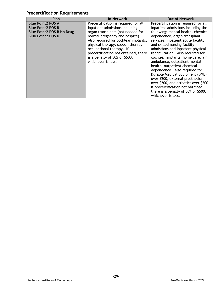# **Precertification Requirements**

| <b>Plan</b>                                                                                                          | <b>In-Network</b>                                                                                                                                                                                                                                                                                                                                     | <b>Out of Network</b>                                                                                                                                                                                                                                                                                                                                                                                                                                                                                                                                                                                                                                   |
|----------------------------------------------------------------------------------------------------------------------|-------------------------------------------------------------------------------------------------------------------------------------------------------------------------------------------------------------------------------------------------------------------------------------------------------------------------------------------------------|---------------------------------------------------------------------------------------------------------------------------------------------------------------------------------------------------------------------------------------------------------------------------------------------------------------------------------------------------------------------------------------------------------------------------------------------------------------------------------------------------------------------------------------------------------------------------------------------------------------------------------------------------------|
| <b>Blue Point2 POS A</b><br><b>Blue Point2 POS B</b><br><b>Blue Point2 POS B No Drug</b><br><b>Blue Point2 POS D</b> | Precertification is required for all<br>inpatient admissions including<br>organ transplants (not needed for<br>normal pregnancy and hospice).<br>Also required for cochlear implants,<br>physical therapy, speech therapy,<br>occupational therapy. If<br>precertification not obtained, there<br>is a penalty of 50% or \$500,<br>whichever is less. | Precertification is required for all<br>inpatient admissions including the<br>following: mental health, chemical<br>dependence, organ transplant<br>services, inpatient acute facility<br>and skilled nursing facility<br>admissions and inpatient physical<br>rehabilitation. Also required for<br>cochlear implants, home care, air<br>ambulance, outpatient mental<br>health, outpatient chemical<br>dependence. Also required for<br>Durable Medical Equipment (DME)<br>over \$200, external prosthetics<br>over \$200, and orthotics over \$200.<br>If precertification not obtained,<br>there is a penalty of 50% or \$500,<br>whichever is less. |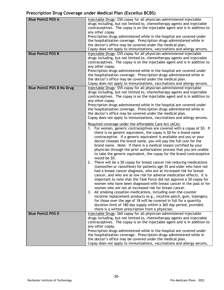# **Prescription Drug Coverage under Medical Plan (Excellus BCBS)**

| <b>Blue Point2 POS A</b>         | Injectable Drugs: \$50 copay for all physician-administered injectable<br>drugs including, but not limited to, chemotherapy agents and injectable<br>contraceptives. The copay is on the injectable agent and is in addition to<br>any other copay.<br>Prescription drugs administered while in the hospital are covered under<br>the hospitalization coverage. Prescription drugs administered while in<br>the doctor's office may be covered under the medical plan.<br>Copay does not apply to immunizations, vaccinations and allergy serums.                                                                                                                                                                                              |
|----------------------------------|------------------------------------------------------------------------------------------------------------------------------------------------------------------------------------------------------------------------------------------------------------------------------------------------------------------------------------------------------------------------------------------------------------------------------------------------------------------------------------------------------------------------------------------------------------------------------------------------------------------------------------------------------------------------------------------------------------------------------------------------|
| <b>Blue Point2 POS B</b>         | Injectable Drugs: \$55 copay for all physician-administered injectable<br>drugs including, but not limited to, chemotherapy agents and injectable                                                                                                                                                                                                                                                                                                                                                                                                                                                                                                                                                                                              |
|                                  | contraceptives. The copay is on the injectable agent and is in addition to                                                                                                                                                                                                                                                                                                                                                                                                                                                                                                                                                                                                                                                                     |
|                                  | any other copay.<br>Prescription drugs administered while in the hospital are covered under                                                                                                                                                                                                                                                                                                                                                                                                                                                                                                                                                                                                                                                    |
|                                  | the hospitalization coverage. Prescription drugs administered while in<br>the doctor's office may be covered under the medical plan.                                                                                                                                                                                                                                                                                                                                                                                                                                                                                                                                                                                                           |
|                                  | Copay does not apply to immunizations, vaccinations and allergy serums.                                                                                                                                                                                                                                                                                                                                                                                                                                                                                                                                                                                                                                                                        |
| <b>Blue Point2 POS B No Drug</b> | Injectable Drugs: \$55 copay for all physician-administered injectable<br>drugs including, but not limited to, chemotherapy agents and injectable<br>contraceptives. The copay is on the injectable agent and is in addition to<br>any other copay.                                                                                                                                                                                                                                                                                                                                                                                                                                                                                            |
|                                  | Prescription drugs administered while in the hospital are covered under<br>the hospitalization coverage. Prescription drugs administered while in<br>the doctor's office may be covered under the medical plan.<br>Copay does not apply to immunizations, vaccinations and allergy serums.                                                                                                                                                                                                                                                                                                                                                                                                                                                     |
|                                  | Required coverage under the Affordable Care Act (ACA):<br>1. For women, generic contraceptives are covered with a copay of \$0. If<br>there is no generic equivalent, the copay is \$0 for a brand name<br>contraceptive. If a generic equivalent is available and you or your<br>doctor chooses the brand name, you will pay the full cost for the<br>brand name. Note: If there is a medical reason certified by your<br>physician through the prior authorization process that you are unable<br>to take the generic equivalent, the copay for the brand contraceptive<br>would be \$0.<br>2. There will be a \$0 copay for breast cancer risk-reducing medications<br>(tamoxifen or raloxifene) for patients age 35 and older who have not |
|                                  | had a breast cancer diagnosis, who are at increased risk for breast<br>cancer, and who are at low risk for adverse medication effects. It is<br>important to note that the Task Force did not approve a \$0 copay for<br>women who have been diagnosed with breast cancer in the past or for<br>women who are not at increased risk for breast cancer.                                                                                                                                                                                                                                                                                                                                                                                         |
|                                  | 3. All smoking cessation medications, including over-the-counter<br>nicotine replacement products (e.g., nicotine patch, gum, lozenges),<br>for those over the age of 18 will be covered in full for a quantity<br>duration limit of 180 day supply within a 365 day period, provided<br>there is a written prescription from a physician.                                                                                                                                                                                                                                                                                                                                                                                                     |
| <b>Blue Point2 POS D</b>         | Injectable Drugs: \$60 copay for all physician-administered injectable                                                                                                                                                                                                                                                                                                                                                                                                                                                                                                                                                                                                                                                                         |
|                                  | drugs including, but not limited to, chemotherapy agents and injectable<br>contraceptives. The copay is on the injectable agent and is in addition to                                                                                                                                                                                                                                                                                                                                                                                                                                                                                                                                                                                          |
|                                  | any other copay.                                                                                                                                                                                                                                                                                                                                                                                                                                                                                                                                                                                                                                                                                                                               |
|                                  | Prescription drugs administered while in the hospital are covered under                                                                                                                                                                                                                                                                                                                                                                                                                                                                                                                                                                                                                                                                        |
|                                  | the hospitalization coverage. Prescription drugs administered while in<br>the doctor's office may be covered under the medical plan.                                                                                                                                                                                                                                                                                                                                                                                                                                                                                                                                                                                                           |
|                                  | Copay does not apply to immunizations, vaccinations and allergy serums.                                                                                                                                                                                                                                                                                                                                                                                                                                                                                                                                                                                                                                                                        |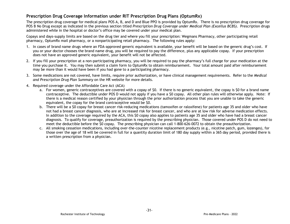#### **Prescription Drug Coverage Information under RIT Prescription Drug Plans (OptumRx)**

The prescription drug coverage for medical plans POS A, B, and D and Blue PPO is provided by OptumRx. There is no prescription drug coverage for POS B No Drug except as indicated in the previous section titled *Prescription Drug Coverage under Medical Plan (Excellus BCBS).* Prescription drugs administered while in the hospital or doctor's office may be covered under your medical plan.

Copays and days-supply limits are based on the drug tier and where you fill your prescription: Wegmans Pharmacy, other participating retail pharmacy, OptumRx mail pharmacy, or a nonparticipating retail pharmacy. The following rules apply:

- 1. In cases of brand name drugs where an FDA-approved generic equivalent is available, your benefit will be based on the generic drug's cost. If you or your doctor chooses the brand name drug, you will be required to pay the difference, plus any applicable copay. If your prescription does not have an approved generic equivalent, your benefit will not be affected.
- 2. If you fill your prescription at a non-participating pharmacy, you will be required to pay the pharmacy's full charge for your medication at the time you purchase it. You may then submit a claim form to OptumRx to obtain reimbursement. Your total amount paid after reimbursement may be more than it would have been if you had gone to a participating pharmacy.
- 3. Some medications are not covered, have limits, require prior authorization, or have clinical management requirements. Refer to the *Medical and Prescription Drug Plan Summary* on the HR website for more details.
- 4. Required coverage under the Affordable Care Act (ACA)
	- a. For women, generic contraceptives are covered with a copay of \$0. If there is no generic equivalent, the copay is \$0 for a brand name contraceptive. The deductible under POS D would not apply if you have a \$0 copay. All other plan rules will otherwise apply. Note: If there is a medical reason certified by your physician through the prior authorization process that you are unable to take the generic equivalent, the copay for the brand contraceptive would be \$0.
	- b. There will be a \$0 copay for breast cancer risk-reducing medications (tamoxifen or raloxifene) for patients age 35 and older who have not had a breast cancer diagnosis, who are at increased risk for breast cancer, and who are at low risk for adverse medication effects. In addition to the coverage required by the ACA, this \$0 copay also applies to patients age 35 and older who have had a breast cancer diagnosis. To qualify for coverage, preauthorization is required by the prescribing physician. Those covered under POS D do not need to meet the deductible before the \$0 copay. The prescribing physician can call 1-800-626-0072 to obtain the preauthorization.
	- c. All smoking cessation medications, including over-the-counter nicotine replacement products (e.g., nicotine patch, gum, lozenges), for those over the age of 18 will be covered in full for a quantity duration limit of 180 day supply within a 365 day period, provided there is a written prescription from a physician.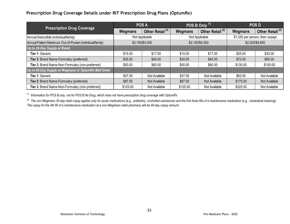# **Prescription Drug Coverage Details under RIT Prescription Drug Plans (OptumRx)**

|                                                          |          | <b>POS A</b>                |          | POS B Only <sup>(1)</sup>   |          | <b>POS D</b>                    |
|----------------------------------------------------------|----------|-----------------------------|----------|-----------------------------|----------|---------------------------------|
| <b>Prescription Drug Coverage</b>                        | Wegmans  | Other Retail <sup>(2)</sup> | Wegmans  | Other Retail <sup>(2)</sup> | Wegmans  | Other Retail <sup>(2)</sup>     |
| Annual Deductible (individual/family)                    |          | Not Applicable              |          | Not Applicable              |          | \$1,250 per person, then copays |
| Annual Patient Maximum Out-of-Pocket (individual/family) |          | \$2,150/\$4,300             |          | \$2,150/\$4,300             |          | \$2,300/\$4,600                 |
| Up to 30-Day Supply at Retail                            |          |                             |          |                             |          |                                 |
| <b>Tier 1: Generic</b>                                   | \$15.00  | \$17.00                     | \$15.00  | \$17.00                     | \$25.00  | \$30.00                         |
| Tier 2: Brand Name-Formulary (preferred)                 | \$35.00  | \$40.00                     | \$35.00  | \$40.00                     | \$70.00  | \$80.00                         |
| Tier 3: Brand Name-Non-Formulary (non-preferred)         | \$50.00  | \$60.00                     | \$50.00  | \$60.00                     | \$130.00 | \$150.00                        |
| Up to 90-Day Supply at Wegmans or OptumRx Mail Order     |          |                             |          |                             |          |                                 |
| <b>Tier 1: Generic</b>                                   | \$37.50  | Not Available               | \$37.50  | Not Available               | \$62.50  | Not Available                   |
| Tier 2: Brand Name-Formulary (preferred)                 | \$87.50  | Not Available               | \$87.50  | Not Available               | \$175.00 | Not Available                   |
| Tier 3: Brand Name-Non-Formulary (non-preferred)         | \$125.00 | Not Available               | \$125.00 | Not Available               | \$325.00 | Not Available                   |

*(1) Information for POS B only, not for POS B No Drug, which does not have prescription drug coverage with OptumRx.*

<sup>(2)</sup> The non-Wegmans 30-day retail copay applies only for acute medications (e.g., antibiotic), controlled substances and the first three fills of a maintenance medication (e.g., cholesteral lowering). *The copay for the 4th fill of a maintenance medication at a non-Wegmans retail pharmacy will be 90-day copay amount.*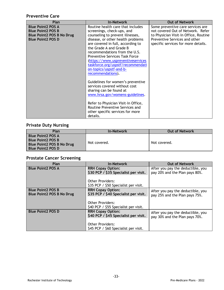# **Preventive Care**

| Plan                                                                                                                 | <b>In-Network</b>                                                                                                                                                                                                                                                                                                                                                                                            | <b>Out of Network</b>                                                                                                                                                                   |
|----------------------------------------------------------------------------------------------------------------------|--------------------------------------------------------------------------------------------------------------------------------------------------------------------------------------------------------------------------------------------------------------------------------------------------------------------------------------------------------------------------------------------------------------|-----------------------------------------------------------------------------------------------------------------------------------------------------------------------------------------|
| <b>Blue Point2 POS A</b><br><b>Blue Point2 POS B</b><br><b>Blue Point2 POS B No Drug</b><br><b>Blue Point2 POS D</b> | Routine health care that includes<br>screenings, check-ups, and<br>counseling to prevent illnesses,<br>disease, or other health problems<br>are covered in full, according to<br>the Grade A and Grade B<br>recommendations from the U.S.<br><b>Preventive Services Task Force</b><br>(https://www.uspreventiveservices<br>taskforce.org/uspstf/recommendati<br>on-topics/uspstf-and-b-<br>recommendations). | Some preventive care services are<br>not covered Out of Network. Refer<br>to Physician Visit-In Office, Routine<br>Preventive Services and other<br>specific services for more details. |
|                                                                                                                      | Guidelines for women's preventive<br>services covered without cost<br>sharing can be found at<br>www.hrsa.gov/womens-guidelines.<br>Refer to Physician Visit-In Office,<br>Routine Preventive Services and<br>other specific services for more<br>details.                                                                                                                                                   |                                                                                                                                                                                         |

# **Private Duty Nursing**

| Plan                      | <b>In-Network</b> | <b>Out of Network</b> |
|---------------------------|-------------------|-----------------------|
| Blue Point2 POS A         |                   |                       |
| <b>Blue Point2 POS B</b>  |                   |                       |
| Blue Point2 POS B No Drug | Not covered.      | Not covered.          |
| l Blue Point2 POS D       |                   |                       |

# **Prostate Cancer Screening**

| Plan                             | <b>In-Network</b>                     | <b>Out of Network</b>             |
|----------------------------------|---------------------------------------|-----------------------------------|
| <b>Blue Point2 POS A</b>         | <b>RRH Copay Option:</b>              | After you pay the deductible, you |
|                                  | \$30 PCP / \$35 Specialist per visit. | pay 20% and the Plan pays 80%.    |
|                                  | <b>Other Providers:</b>               |                                   |
|                                  | \$35 PCP / \$50 Specialist per visit. |                                   |
| <b>Blue Point2 POS B</b>         | <b>RRH Copay Option:</b>              | After you pay the deductible, you |
| <b>Blue Point2 POS B No Drug</b> | \$35 PCP / \$40 Specialist per visit. | pay 25% and the Plan pays 75%.    |
|                                  | <b>Other Providers:</b>               |                                   |
|                                  | \$40 PCP / \$55 Specialist per visit. |                                   |
| <b>Blue Point2 POS D</b>         | <b>RRH Copay Option:</b>              | After you pay the deductible, you |
|                                  | \$40 PCP / \$45 Specialist per visit. | pay 30% and the Plan pays 70%.    |
|                                  | <b>Other Providers:</b>               |                                   |
|                                  | \$45 PCP / \$60 Specialist per visit. |                                   |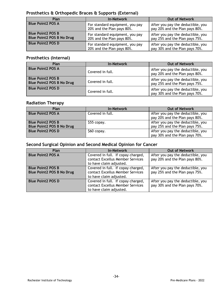# **Prosthetics & Orthopedic Braces & Supports (External)**

| Plan                                                         | <b>In-Network</b>                                             | <b>Out of Network</b>                                               |
|--------------------------------------------------------------|---------------------------------------------------------------|---------------------------------------------------------------------|
| <b>Blue Point2 POS A</b>                                     | For standard equipment, you pay<br>20% and the Plan pays 80%. | After you pay the deductible, you<br>pay 20% and the Plan pays 80%. |
| <b>Blue Point2 POS B</b><br><b>Blue Point2 POS B No Drug</b> | For standard equipment, you pay<br>20% and the Plan pays 80%. | After you pay the deductible, you<br>pay 25% and the Plan pays 75%. |
| <b>Blue Point2 POS D</b>                                     | For standard equipment, you pay<br>20% and the Plan pays 80%. | After you pay the deductible, you<br>pay 30% and the Plan pays 70%. |

#### **Prosthetics (Internal)**

| Plan                                                         | <b>In-Network</b> | <b>Out of Network</b>                                               |  |
|--------------------------------------------------------------|-------------------|---------------------------------------------------------------------|--|
| <b>Blue Point2 POS A</b>                                     | Covered in full.  | After you pay the deductible, you<br>pay 20% and the Plan pays 80%. |  |
| <b>Blue Point2 POS B</b><br><b>Blue Point2 POS B No Drug</b> | Covered in full.  | After you pay the deductible, you<br>pay 25% and the Plan pays 75%. |  |
| <b>Blue Point2 POS D</b>                                     | Covered in full.  | After you pay the deductible, you<br>pay 30% and the Plan pays 70%. |  |

# **Radiation Therapy**

| Plan                             | <b>In-Network</b> | <b>Out of Network</b>                                               |
|----------------------------------|-------------------|---------------------------------------------------------------------|
| <b>Blue Point2 POS A</b>         | Covered in full.  | After you pay the deductible, you<br>pay 20% and the Plan pays 80%. |
| <b>Blue Point2 POS B</b>         | \$55 copay.       | After you pay the deductible, you                                   |
| <b>Blue Point2 POS B No Drug</b> |                   | pay 25% and the Plan pays 75%.                                      |
| <b>Blue Point2 POS D</b>         | $$60$ copay.      | After you pay the deductible, you                                   |
|                                  |                   | pay 30% and the Plan pays 70%.                                      |

#### **Second Surgical Opinion and Second Medical Opinion for Cancer**

| Plan                                                         | <b>In-Network</b>                                                                                 | <b>Out of Network</b>                                               |
|--------------------------------------------------------------|---------------------------------------------------------------------------------------------------|---------------------------------------------------------------------|
| <b>Blue Point2 POS A</b>                                     | Covered in full. If copay charged,<br>contact Excellus Member Services<br>to have claim adjusted. | After you pay the deductible, you<br>pay 20% and the Plan pays 80%. |
| <b>Blue Point2 POS B</b><br><b>Blue Point2 POS B No Drug</b> | Covered in full. If copay charged,<br>contact Excellus Member Services<br>to have claim adjusted. | After you pay the deductible, you<br>pay 25% and the Plan pays 75%. |
| <b>Blue Point2 POS D</b>                                     | Covered in full. If copay charged,<br>contact Excellus Member Services<br>to have claim adjusted. | After you pay the deductible, you<br>pay 30% and the Plan pays 70%. |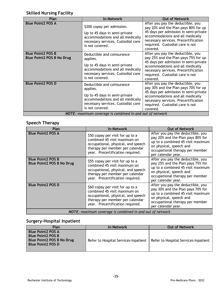# **Skilled Nursing Facility**

| Plan                                                     | <b>In-Network</b>                                                                                                                                                    | <b>Out of Network</b>                                                                                                                                                                                                                         |
|----------------------------------------------------------|----------------------------------------------------------------------------------------------------------------------------------------------------------------------|-----------------------------------------------------------------------------------------------------------------------------------------------------------------------------------------------------------------------------------------------|
| <b>Blue Point2 POS A</b>                                 | \$200 copay per admission.<br>Up to 45 days in semi-private<br>accommodations and all medically<br>necessary services. Custodial care<br>is not covered.             | After you pay the deductible, you<br>pay 20% and the Plan pays 80% for up<br>45 days per admission in semi-private<br>accommodations and all medically<br>necessary services. Precertification<br>required. Custodial care is not<br>covered. |
| <b>Blue Point2 POS B</b><br>Blue Point2 POS B No Drug    | Deductible and coinsurance<br>applies.<br>Up to 45 days in semi-private<br>accommodations and all medically<br>necessary services. Custodial care<br>is not covered. | After you pay the deductible, you<br>pay 25% and the Plan pays 75% for up<br>45 days per admission in semi-private<br>accommodations and all medically<br>necessary services. Precertification<br>required. Custodial care is not<br>covered. |
| <b>Blue Point2 POS D</b>                                 | Deductible and coinsurance<br>applies.<br>Up to 45 days in semi-private<br>accommodations and all medically<br>necessary services. Custodial care<br>is not covered. | After you pay the deductible, you<br>pay 30% and the Plan pays 70% for up<br>45 days per admission in semi-private<br>accommodations and all medically<br>necessary services. Precertification<br>required. Custodial care is not<br>covered. |
| NOTE: maximum coverage is combined in and out of network |                                                                                                                                                                      |                                                                                                                                                                                                                                               |

# **Speech Therapy**

| Plan                                                         | <b>In-Network</b>                                                                                                                                                             | <b>Out of Network</b>                                                                                                                                                                           |
|--------------------------------------------------------------|-------------------------------------------------------------------------------------------------------------------------------------------------------------------------------|-------------------------------------------------------------------------------------------------------------------------------------------------------------------------------------------------|
| <b>Blue Point2 POS A</b>                                     | \$50 copay per visit for up to a<br>combined 45 visit maximum on<br>occupational, physical, and speech<br>therapy per member per calendar<br>year. Precertification required. | After you pay the deductible, you<br>pay 20% and the Plan pays 80% for<br>up to a combined 45 visit maximum<br>on physical, speech and<br>occupational therapy per member<br>per calendar year. |
| <b>Blue Point2 POS B</b><br><b>Blue Point2 POS B No Drug</b> | \$55 copay per visit for up to a<br>combined 45 visit maximum on<br>occupational, physical, and speech<br>therapy per member per calendar<br>year. Precertification required. | After you pay the deductible, you<br>pay 25% and the Plan pays 75% for<br>up to a combined 45 visit maximum<br>on physical, speech and<br>occupational therapy per member<br>per calendar year. |
| <b>Blue Point2 POS D</b>                                     | \$60 copay per visit for up to a<br>combined 45 visit maximum on<br>occupational, physical, and speech<br>therapy per member per calendar<br>year. Precertification required. | After you pay the deductible, you<br>pay 30% and the Plan pays 70% for<br>up to a combined 45 visit maximum<br>on physical, speech and<br>occupational therapy per member<br>per calendar year. |
| NOTE: maximum coverage is combined in and out of network     |                                                                                                                                                                               |                                                                                                                                                                                                 |

# **Surgery-Hospital Inpatient**

| Plan                                                                                                          | <b>In-Network</b>                    | <b>Out of Network</b>                |
|---------------------------------------------------------------------------------------------------------------|--------------------------------------|--------------------------------------|
| <b>Blue Point2 POS A</b><br><b>Blue Point2 POS B</b><br>Blue Point2 POS B No Drug<br><b>Blue Point2 POS D</b> | Refer to Hospital Services-Inpatient | Refer to Hospital Services-Inpatient |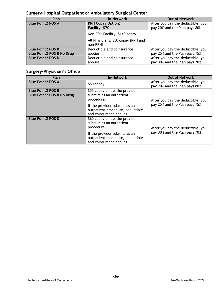# **Surgery-Hospital Outpatient or Ambulatory Surgical Center**

| Plan                             | <b>In-Network</b>                               | <b>Out of Network</b>                                               |
|----------------------------------|-------------------------------------------------|---------------------------------------------------------------------|
| <b>Blue Point2 POS A</b>         | <b>RRH Copay Option:</b><br>Facility: \$70      | After you pay the deductible, you<br>pay 20% and the Plan pays 80%. |
|                                  | Non-RRH Facility: \$140 copay                   |                                                                     |
|                                  | All Physicians: \$50 copay (RRH and<br>non-RRH) |                                                                     |
| <b>Blue Point 2 POS B</b>        | Deductible and coinsurance                      | After you pay the deductible, you                                   |
| <b>Blue Point2 POS B No Drug</b> | applies.                                        | pay 25% and the Plan pays 75%.                                      |
| <b>Blue Point2 POS D</b>         | Deductible and coinsurance                      | After you pay the deductible, you                                   |
|                                  | applies.                                        | pay 30% and the Plan pays 70%.                                      |

# **Surgery-Physician's Office**

| Plan                                                         | <b>In-Network</b>                                                                             | <b>Out of Network</b>                                               |
|--------------------------------------------------------------|-----------------------------------------------------------------------------------------------|---------------------------------------------------------------------|
| <b>Blue Point2 POS A</b>                                     | \$50 copay                                                                                    | After you pay the deductible, you<br>pay 20% and the Plan pays 80%. |
| <b>Blue Point2 POS B</b><br><b>Blue Point2 POS B No Drug</b> | \$55 copay unless the provider<br>submits as an outpatient<br>procedure.                      | After you pay the deductible, you                                   |
|                                                              | If the provider submits as an<br>outpatient procedure, deductible<br>and coinsurance applies. | pay 25% and the Plan pays 75%.                                      |
| <b>Blue Point2 POS D</b>                                     | \$60 copay unless the provider<br>submits as an outpatient<br>procedure.                      | After you pay the deductible, you                                   |
|                                                              | If the provider submits as an<br>outpatient procedure, deductible<br>and coinsurance applies. | pay 30% and the Plan pays 70%.                                      |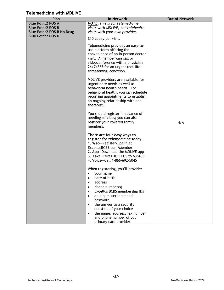# **Telemedicine with MDLIVE**

| <b>Out of Network</b><br>Plan<br><b>In-Network</b><br><b>Blue Point2 POS A</b><br><b>NOTE:</b> this is for telemedicine<br><b>Blue Point2 POS B</b><br>visits with MDLIVE, not telehealth<br><b>Blue Point2 POS B No Drug</b><br>visits with your own provider.<br><b>Blue Point2 POS D</b><br>\$10 copay per visit.<br>Telemedicine provides an easy-to-<br>use platform offering the<br>convenience of an in-person doctor<br>visit. A member can call or<br>videoconference with a physician<br>24/7/365 for an urgent (not life-<br>threatening) condition.<br>MDLIVE providers are available for<br>urgent care needs as well as<br>behavioral health needs. For<br>behavioral health, you can schedule<br>recurring appointments to establish<br>an ongoing relationship with one<br>therapist. |  |
|-------------------------------------------------------------------------------------------------------------------------------------------------------------------------------------------------------------------------------------------------------------------------------------------------------------------------------------------------------------------------------------------------------------------------------------------------------------------------------------------------------------------------------------------------------------------------------------------------------------------------------------------------------------------------------------------------------------------------------------------------------------------------------------------------------|--|
|                                                                                                                                                                                                                                                                                                                                                                                                                                                                                                                                                                                                                                                                                                                                                                                                       |  |
|                                                                                                                                                                                                                                                                                                                                                                                                                                                                                                                                                                                                                                                                                                                                                                                                       |  |
|                                                                                                                                                                                                                                                                                                                                                                                                                                                                                                                                                                                                                                                                                                                                                                                                       |  |
|                                                                                                                                                                                                                                                                                                                                                                                                                                                                                                                                                                                                                                                                                                                                                                                                       |  |
| You should register in advance of<br>needing services; you can also<br>register your covered family<br>N/A<br>members.                                                                                                                                                                                                                                                                                                                                                                                                                                                                                                                                                                                                                                                                                |  |
| There are four easy ways to<br>register for telemedicine today.<br>1. Web-Register/Log in at<br>ExcellusBCBS.com/Member<br>2. App-Download the MDLIVE app<br>3. Text-Text EXCELLUS to 635483<br>4. Voice-Call 1-866-692-5045                                                                                                                                                                                                                                                                                                                                                                                                                                                                                                                                                                          |  |
| When registering, you'll provide:<br>your name<br>date of birth<br>$\bullet$<br>address<br>$\bullet$<br>phone number(s)<br>$\bullet$<br>Excellus BCBS membership ID#<br>$\bullet$<br>a unique username and<br>٠<br>password<br>the answer to a security<br>٠<br>question of your choice<br>the name, address, fax number<br>$\bullet$<br>and phone number of your                                                                                                                                                                                                                                                                                                                                                                                                                                     |  |